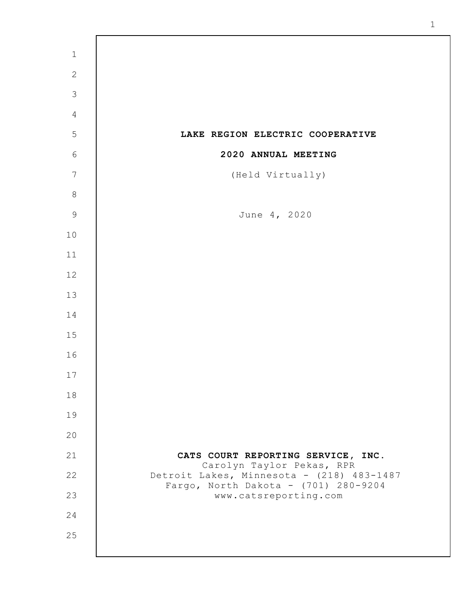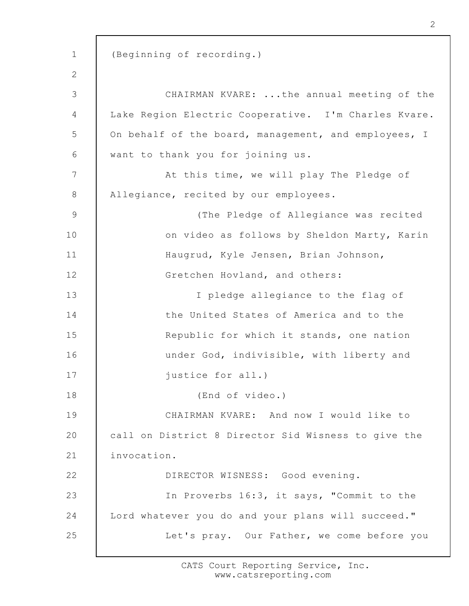1 2 3 4 5 6 7 8 9 10 11 12 13 14 15 16 17 18 19 20 21 22 23 24 25 (Beginning of recording.) CHAIRMAN KVARE: ...the annual meeting of the Lake Region Electric Cooperative. I'm Charles Kvare. On behalf of the board, management, and employees, I want to thank you for joining us. At this time, we will play The Pledge of Allegiance, recited by our employees. (The Pledge of Allegiance was recited on video as follows by Sheldon Marty, Karin Haugrud, Kyle Jensen, Brian Johnson, Gretchen Hovland, and others: I pledge allegiance to the flag of the United States of America and to the Republic for which it stands, one nation under God, indivisible, with liberty and justice for all.) (End of video.) CHAIRMAN KVARE: And now I would like to call on District 8 Director Sid Wisness to give the invocation. DIRECTOR WISNESS: Good evening. In Proverbs 16:3, it says, "Commit to the Lord whatever you do and your plans will succeed." Let's pray. Our Father, we come before you

2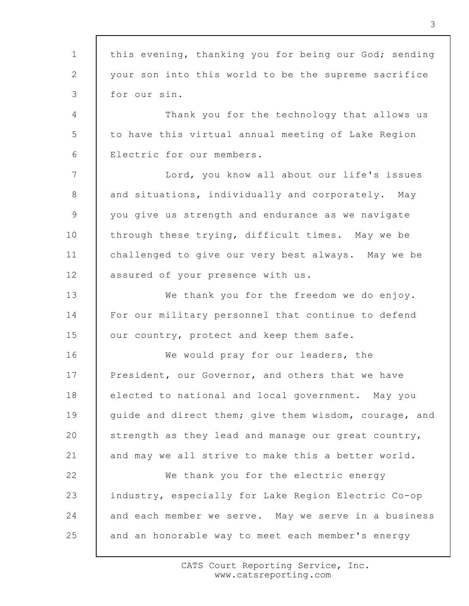1 2 3 4 5 6 7 8 9 10 11 12 13 14 15 16 17 18 19 20 21 22 23 24 25 this evening, thanking you for being our God; sending your son into this world to be the supreme sacrifice for our sin. Thank you for the technology that allows us to have this virtual annual meeting of Lake Region Electric for our members. Lord, you know all about our life's issues and situations, individually and corporately. May you give us strength and endurance as we navigate through these trying, difficult times. May we be challenged to give our very best always. May we be assured of your presence with us. We thank you for the freedom we do enjoy. For our military personnel that continue to defend our country, protect and keep them safe. We would pray for our leaders, the President, our Governor, and others that we have elected to national and local government. May you guide and direct them; give them wisdom, courage, and strength as they lead and manage our great country, and may we all strive to make this a better world. We thank you for the electric energy industry, especially for Lake Region Electric Co-op and each member we serve. May we serve in a business and an honorable way to meet each member's energy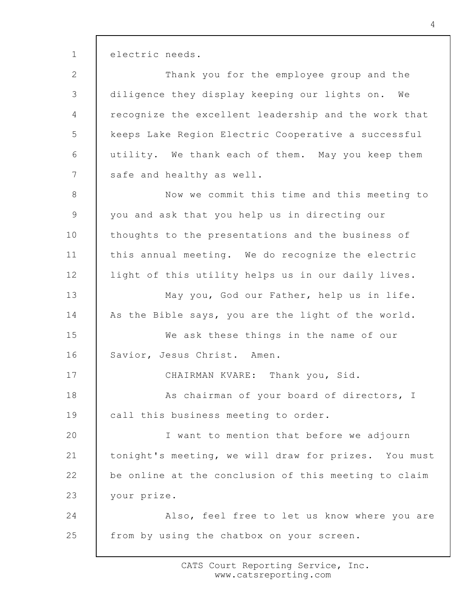electric needs.

1

2 3 4 5 6 7 Thank you for the employee group and the diligence they display keeping our lights on. We recognize the excellent leadership and the work that keeps Lake Region Electric Cooperative a successful utility. We thank each of them. May you keep them safe and healthy as well.

8 9 10 11 12 13 Now we commit this time and this meeting to you and ask that you help us in directing our thoughts to the presentations and the business of this annual meeting. We do recognize the electric light of this utility helps us in our daily lives. May you, God our Father, help us in life.

14 As the Bible says, you are the light of the world.

15 16 We ask these things in the name of our Savior, Jesus Christ. Amen.

17 18 19 CHAIRMAN KVARE: Thank you, Sid. As chairman of your board of directors, I call this business meeting to order.

20 21 22 23 I want to mention that before we adjourn tonight's meeting, we will draw for prizes. You must be online at the conclusion of this meeting to claim your prize.

24 25 Also, feel free to let us know where you are from by using the chatbox on your screen.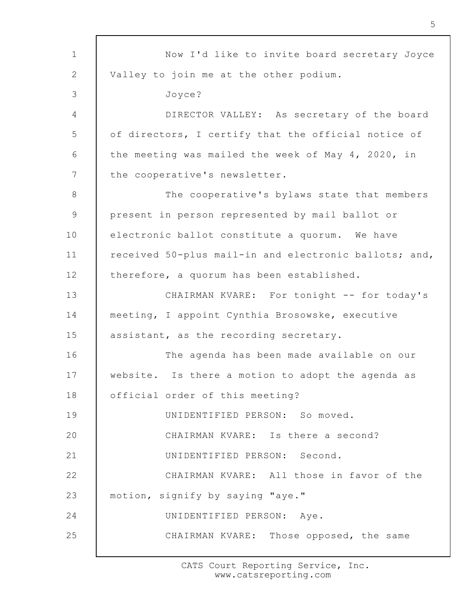1 2 3 4 5 6 7 8 9 10 11 12 13 14 15 16 17 18 19 20 21 22 23 24 25 Now I'd like to invite board secretary Joyce Valley to join me at the other podium. Joyce? DIRECTOR VALLEY: As secretary of the board of directors, I certify that the official notice of the meeting was mailed the week of May 4, 2020, in the cooperative's newsletter. The cooperative's bylaws state that members present in person represented by mail ballot or electronic ballot constitute a quorum. We have received 50-plus mail-in and electronic ballots; and, therefore, a quorum has been established. CHAIRMAN KVARE: For tonight -- for today's meeting, I appoint Cynthia Brosowske, executive assistant, as the recording secretary. The agenda has been made available on our website. Is there a motion to adopt the agenda as official order of this meeting? UNIDENTIFIED PERSON: So moved. CHAIRMAN KVARE: Is there a second? UNIDENTIFIED PERSON: Second. CHAIRMAN KVARE: All those in favor of the motion, signify by saying "aye." UNIDENTIFIED PERSON: Aye. CHAIRMAN KVARE: Those opposed, the same

> CATS Court Reporting Service, Inc. www.catsreporting.com

5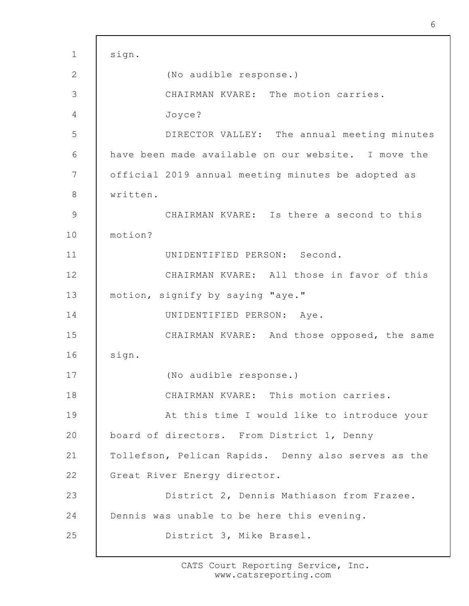1 2 3 4 5 6 7 8 9 10 11 12 13 14 15 16 17 18 19 20 21 22 23 24 25 sign. (No audible response.) CHAIRMAN KVARE: The motion carries. Joyce? DIRECTOR VALLEY: The annual meeting minutes have been made available on our website. I move the official 2019 annual meeting minutes be adopted as written. CHAIRMAN KVARE: Is there a second to this motion? UNIDENTIFIED PERSON: Second. CHAIRMAN KVARE: All those in favor of this motion, signify by saying "aye." UNIDENTIFIED PERSON: Aye. CHAIRMAN KVARE: And those opposed, the same sign. (No audible response.) CHAIRMAN KVARE: This motion carries. At this time I would like to introduce your board of directors. From District 1, Denny Tollefson, Pelican Rapids. Denny also serves as the Great River Energy director. District 2, Dennis Mathiason from Frazee. Dennis was unable to be here this evening. District 3, Mike Brasel.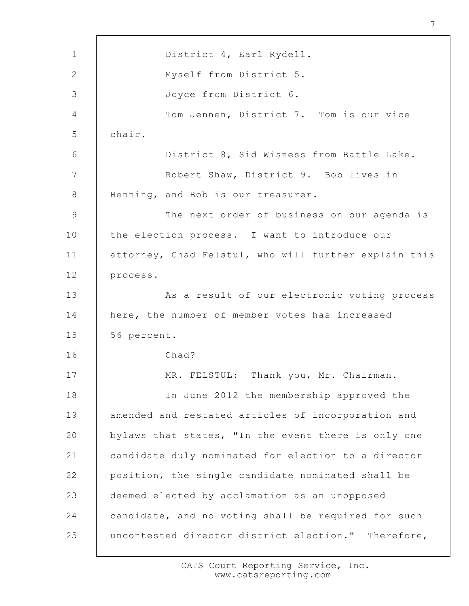1 2 3 4 5 6 7 8 9 10 11 12 13 14 15 16 17 18 19 20 21 22 23 24 25 District 4, Earl Rydell. Myself from District 5. Joyce from District 6. Tom Jennen, District 7. Tom is our vice chair. District 8, Sid Wisness from Battle Lake. Robert Shaw, District 9. Bob lives in Henning, and Bob is our treasurer. The next order of business on our agenda is the election process. I want to introduce our attorney, Chad Felstul, who will further explain this process. As a result of our electronic voting process here, the number of member votes has increased 56 percent. Chad? MR. FELSTUL: Thank you, Mr. Chairman. In June 2012 the membership approved the amended and restated articles of incorporation and bylaws that states, "In the event there is only one candidate duly nominated for election to a director position, the single candidate nominated shall be deemed elected by acclamation as an unopposed candidate, and no voting shall be required for such uncontested director district election." Therefore,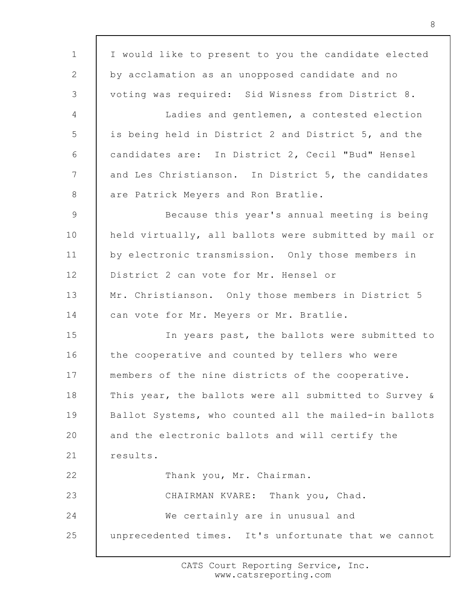1 2 3 4 5 6 7 8 9 10 11 12 13 14 15 16 17 18 19 20 21 22 23 24 25 I would like to present to you the candidate elected by acclamation as an unopposed candidate and no voting was required: Sid Wisness from District 8. Ladies and gentlemen, a contested election is being held in District 2 and District 5, and the candidates are: In District 2, Cecil "Bud" Hensel and Les Christianson. In District 5, the candidates are Patrick Meyers and Ron Bratlie. Because this year's annual meeting is being held virtually, all ballots were submitted by mail or by electronic transmission. Only those members in District 2 can vote for Mr. Hensel or Mr. Christianson. Only those members in District 5 can vote for Mr. Meyers or Mr. Bratlie. In years past, the ballots were submitted to the cooperative and counted by tellers who were members of the nine districts of the cooperative. This year, the ballots were all submitted to Survey & Ballot Systems, who counted all the mailed-in ballots and the electronic ballots and will certify the results. Thank you, Mr. Chairman. CHAIRMAN KVARE: Thank you, Chad. We certainly are in unusual and unprecedented times. It's unfortunate that we cannot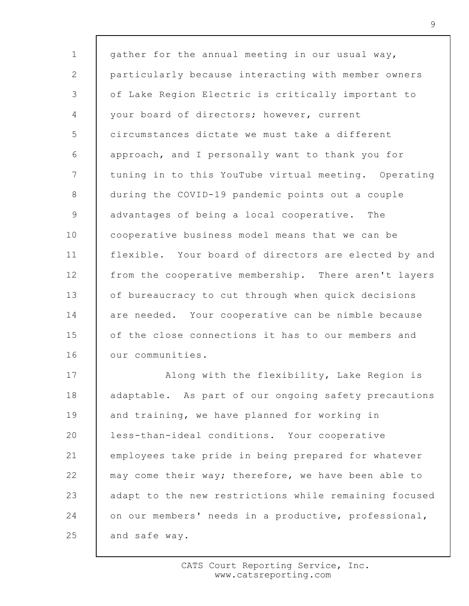1 2 3 4 5 6 7 8 9 10 11 12 13 14 15 16 17 gather for the annual meeting in our usual way, particularly because interacting with member owners of Lake Region Electric is critically important to your board of directors; however, current circumstances dictate we must take a different approach, and I personally want to thank you for tuning in to this YouTube virtual meeting. Operating during the COVID-19 pandemic points out a couple advantages of being a local cooperative. The cooperative business model means that we can be flexible. Your board of directors are elected by and from the cooperative membership. There aren't layers of bureaucracy to cut through when quick decisions are needed. Your cooperative can be nimble because of the close connections it has to our members and our communities. Along with the flexibility, Lake Region is

18 19 20 21 22 23 24 25 adaptable. As part of our ongoing safety precautions and training, we have planned for working in less-than-ideal conditions. Your cooperative employees take pride in being prepared for whatever may come their way; therefore, we have been able to adapt to the new restrictions while remaining focused on our members' needs in a productive, professional, and safe way.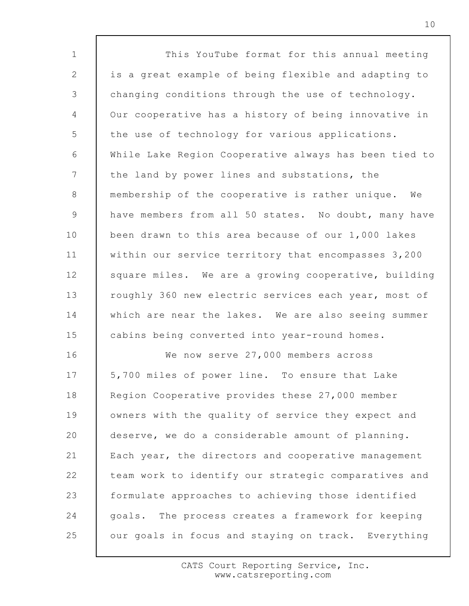1 2 3 4 5 6 7 8 9 10 11 12 13 14 15 16 17 18 19 20 21 22 23 24 25 This YouTube format for this annual meeting is a great example of being flexible and adapting to changing conditions through the use of technology. Our cooperative has a history of being innovative in the use of technology for various applications. While Lake Region Cooperative always has been tied to the land by power lines and substations, the membership of the cooperative is rather unique. We have members from all 50 states. No doubt, many have been drawn to this area because of our 1,000 lakes within our service territory that encompasses 3,200 square miles. We are a growing cooperative, building roughly 360 new electric services each year, most of which are near the lakes. We are also seeing summer cabins being converted into year-round homes. We now serve 27,000 members across 5,700 miles of power line. To ensure that Lake Region Cooperative provides these 27,000 member owners with the quality of service they expect and deserve, we do a considerable amount of planning. Each year, the directors and cooperative management team work to identify our strategic comparatives and formulate approaches to achieving those identified goals. The process creates a framework for keeping our goals in focus and staying on track. Everything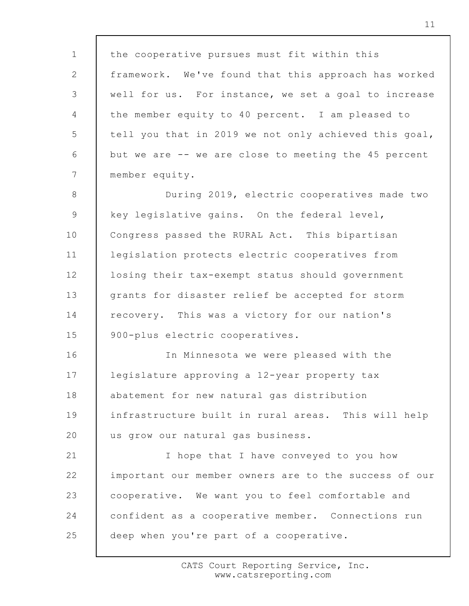1 2 3 4 5 6 7 8 9 10 11 12 the cooperative pursues must fit within this framework. We've found that this approach has worked well for us. For instance, we set a goal to increase the member equity to 40 percent. I am pleased to tell you that in 2019 we not only achieved this goal, but we are -- we are close to meeting the 45 percent member equity. During 2019, electric cooperatives made two key legislative gains. On the federal level, Congress passed the RURAL Act. This bipartisan legislation protects electric cooperatives from losing their tax-exempt status should government

13 14 15 grants for disaster relief be accepted for storm recovery. This was a victory for our nation's 900-plus electric cooperatives.

16 17 18 19 20 In Minnesota we were pleased with the legislature approving a 12-year property tax abatement for new natural gas distribution infrastructure built in rural areas. This will help us grow our natural gas business.

21 22 23 24 25 I hope that I have conveyed to you how important our member owners are to the success of our cooperative. We want you to feel comfortable and confident as a cooperative member. Connections run deep when you're part of a cooperative.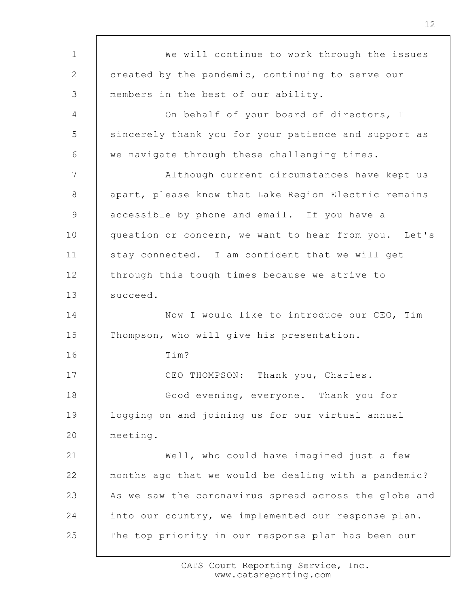1 2 3 4 5 6 7 8 9 10 11 12 13 14 15 16 17 18 19 20 21 22 23 24 25 We will continue to work through the issues created by the pandemic, continuing to serve our members in the best of our ability. On behalf of your board of directors, I sincerely thank you for your patience and support as we navigate through these challenging times. Although current circumstances have kept us apart, please know that Lake Region Electric remains accessible by phone and email. If you have a question or concern, we want to hear from you. Let's stay connected. I am confident that we will get through this tough times because we strive to succeed. Now I would like to introduce our CEO, Tim Thompson, who will give his presentation. Tim? CEO THOMPSON: Thank you, Charles. Good evening, everyone. Thank you for logging on and joining us for our virtual annual meeting. Well, who could have imagined just a few months ago that we would be dealing with a pandemic? As we saw the coronavirus spread across the globe and into our country, we implemented our response plan. The top priority in our response plan has been our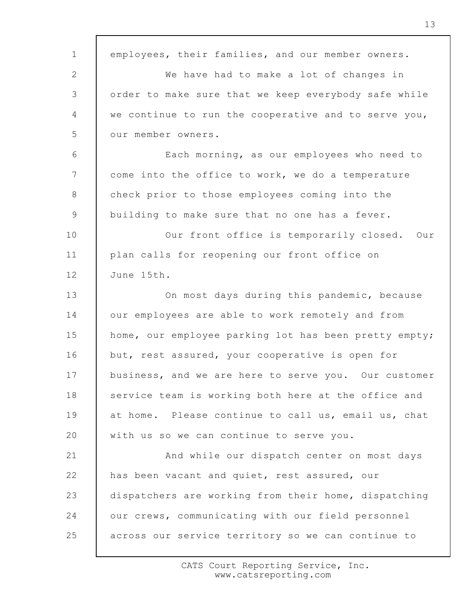1 2 3 4 5 6 7 8 9 10 11 12 13 14 15 16 17 18 19 20 21 22 23 24 25 employees, their families, and our member owners. We have had to make a lot of changes in order to make sure that we keep everybody safe while we continue to run the cooperative and to serve you, our member owners. Each morning, as our employees who need to come into the office to work, we do a temperature check prior to those employees coming into the building to make sure that no one has a fever. Our front office is temporarily closed. Our plan calls for reopening our front office on June 15th. On most days during this pandemic, because our employees are able to work remotely and from home, our employee parking lot has been pretty empty; but, rest assured, your cooperative is open for business, and we are here to serve you. Our customer service team is working both here at the office and at home. Please continue to call us, email us, chat with us so we can continue to serve you. And while our dispatch center on most days has been vacant and quiet, rest assured, our dispatchers are working from their home, dispatching our crews, communicating with our field personnel across our service territory so we can continue to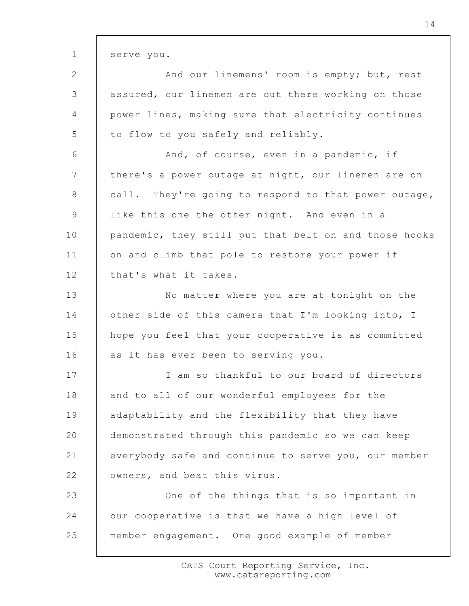1 2 3 4 5 6 7 8 9 10 11 12 13 14 15 16 17 18 19 20 21 22 23 24 25 serve you. And our linemens' room is empty; but, rest assured, our linemen are out there working on those power lines, making sure that electricity continues to flow to you safely and reliably. And, of course, even in a pandemic, if there's a power outage at night, our linemen are on call. They're going to respond to that power outage, like this one the other night. And even in a pandemic, they still put that belt on and those hooks on and climb that pole to restore your power if that's what it takes. No matter where you are at tonight on the other side of this camera that I'm looking into, I hope you feel that your cooperative is as committed as it has ever been to serving you. I am so thankful to our board of directors and to all of our wonderful employees for the adaptability and the flexibility that they have demonstrated through this pandemic so we can keep everybody safe and continue to serve you, our member owners, and beat this virus. One of the things that is so important in our cooperative is that we have a high level of member engagement. One good example of member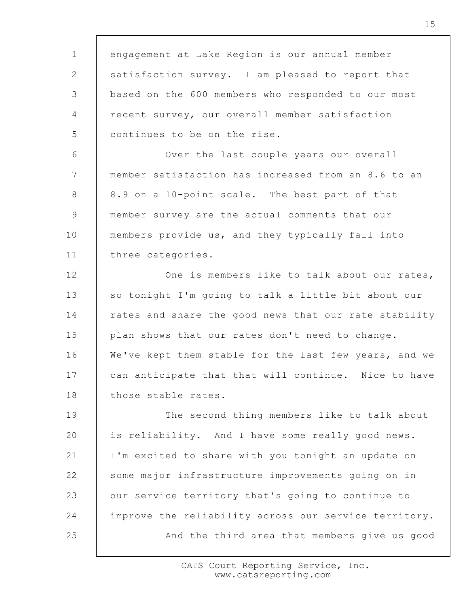1 2 3 4 5 6 7 8 9 10 11 12 13 14 15 16 17 18 19 20 21 22 23 24 25 engagement at Lake Region is our annual member satisfaction survey. I am pleased to report that based on the 600 members who responded to our most recent survey, our overall member satisfaction continues to be on the rise. Over the last couple years our overall member satisfaction has increased from an 8.6 to an 8.9 on a 10-point scale. The best part of that member survey are the actual comments that our members provide us, and they typically fall into three categories. One is members like to talk about our rates, so tonight I'm going to talk a little bit about our rates and share the good news that our rate stability plan shows that our rates don't need to change. We've kept them stable for the last few years, and we can anticipate that that will continue. Nice to have those stable rates. The second thing members like to talk about is reliability. And I have some really good news. I'm excited to share with you tonight an update on some major infrastructure improvements going on in our service territory that's going to continue to improve the reliability across our service territory. And the third area that members give us good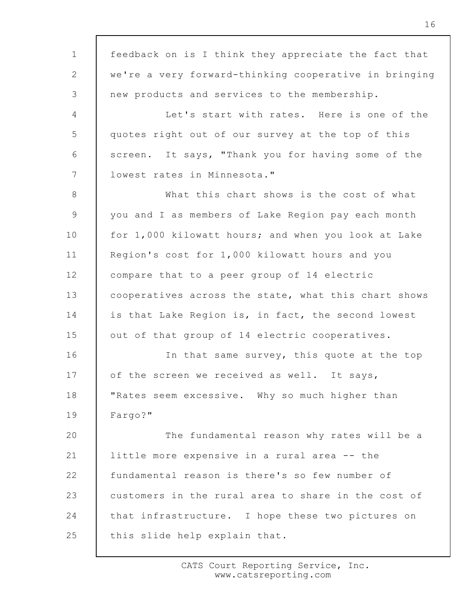1 2 3 4 5 6 7 8 9 10 11 12 13 14 15 16 17 18 19 20 21 22 23 24 25 feedback on is I think they appreciate the fact that we're a very forward-thinking cooperative in bringing new products and services to the membership. Let's start with rates. Here is one of the quotes right out of our survey at the top of this screen. It says, "Thank you for having some of the lowest rates in Minnesota." What this chart shows is the cost of what you and I as members of Lake Region pay each month for 1,000 kilowatt hours; and when you look at Lake Region's cost for 1,000 kilowatt hours and you compare that to a peer group of 14 electric cooperatives across the state, what this chart shows is that Lake Region is, in fact, the second lowest out of that group of 14 electric cooperatives. In that same survey, this quote at the top of the screen we received as well. It says, "Rates seem excessive. Why so much higher than Fargo?" The fundamental reason why rates will be a little more expensive in a rural area -- the fundamental reason is there's so few number of customers in the rural area to share in the cost of that infrastructure. I hope these two pictures on this slide help explain that.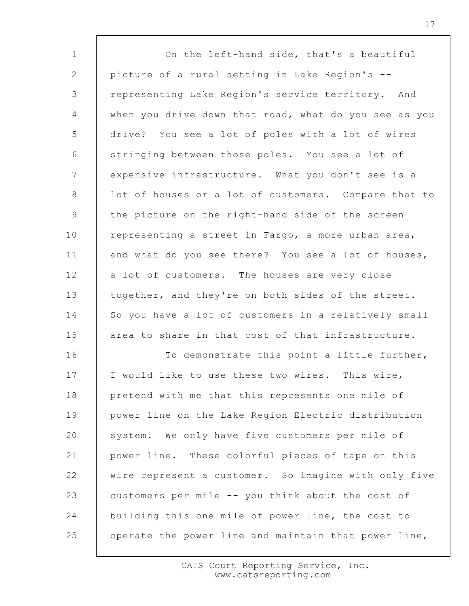1 2 3 4 5 6 7 8 9 10 11 12 13 14 15 16 17 18 19 20 21 22 23 24 25 On the left-hand side, that's a beautiful picture of a rural setting in Lake Region's - representing Lake Region's service territory. And when you drive down that road, what do you see as you drive? You see a lot of poles with a lot of wires stringing between those poles. You see a lot of expensive infrastructure. What you don't see is a lot of houses or a lot of customers. Compare that to the picture on the right-hand side of the screen representing a street in Fargo, a more urban area, and what do you see there? You see a lot of houses, a lot of customers. The houses are very close together, and they're on both sides of the street. So you have a lot of customers in a relatively small area to share in that cost of that infrastructure. To demonstrate this point a little further, I would like to use these two wires. This wire, pretend with me that this represents one mile of power line on the Lake Region Electric distribution system. We only have five customers per mile of power line. These colorful pieces of tape on this wire represent a customer. So imagine with only five customers per mile -- you think about the cost of building this one mile of power line, the cost to operate the power line and maintain that power line,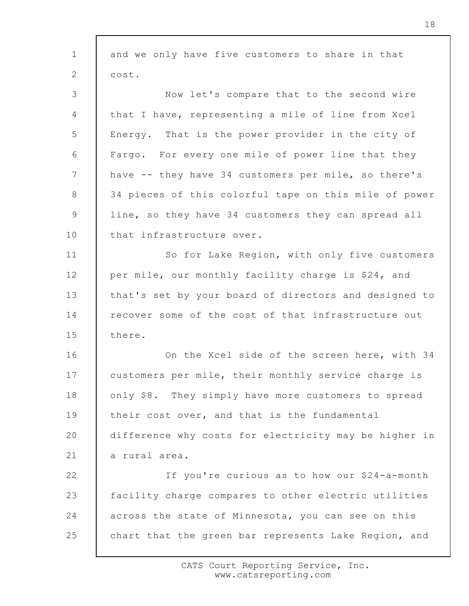| and we only have five customers to share in that      |
|-------------------------------------------------------|
| cost.                                                 |
| Now let's compare that to the second wire             |
| that I have, representing a mile of line from Xcel    |
| Energy. That is the power provider in the city of     |
| Fargo. For every one mile of power line that they     |
| have -- they have 34 customers per mile, so there's   |
| 34 pieces of this colorful tape on this mile of power |
| line, so they have 34 customers they can spread all   |
| that infrastructure over.                             |
| So for Lake Region, with only five customers          |
| per mile, our monthly facility charge is \$24, and    |
| that's set by your board of directors and designed to |
| recover some of the cost of that infrastructure out   |
| there.                                                |
| On the Xcel side of the screen here, with 34          |
| customers per mile, their monthly service charge is   |
| only \$8. They simply have more customers to spread   |
| their cost over, and that is the fundamental          |
| difference why costs for electricity may be higher in |
| a rural area.                                         |
| If you're curious as to how our \$24-a-month          |
| facility charge compares to other electric utilities  |
| across the state of Minnesota, you can see on this    |
| chart that the green bar represents Lake Region, and  |
|                                                       |

г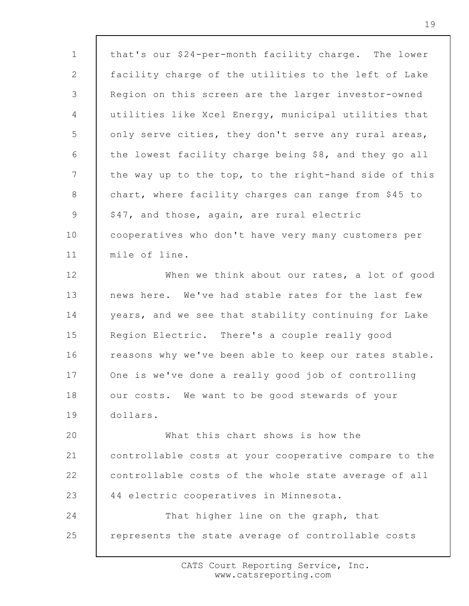| $\mathbf{1}$    | that's our \$24-per-month facility charge. The lower  |
|-----------------|-------------------------------------------------------|
| 2               | facility charge of the utilities to the left of Lake  |
| 3               | Region on this screen are the larger investor-owned   |
| $\overline{4}$  | utilities like Xcel Energy, municipal utilities that  |
| 5               | only serve cities, they don't serve any rural areas,  |
| 6               | the lowest facility charge being \$8, and they go all |
| $7\phantom{.0}$ | the way up to the top, to the right-hand side of this |
| 8               | chart, where facility charges can range from \$45 to  |
| $\mathcal{G}$   | \$47, and those, again, are rural electric            |
| 10              | cooperatives who don't have very many customers per   |
| 11              | mile of line.                                         |
| 12              | When we think about our rates, a lot of good          |
| 13              | news here. We've had stable rates for the last few    |
| 14              | years, and we see that stability continuing for Lake  |
| 15              | Region Electric. There's a couple really good         |
| 16              | reasons why we've been able to keep our rates stable. |
| 17              | One is we've done a really good job of controlling    |
| 18              | our costs. We want to be good stewards of your        |
| 19              | dollars.                                              |
| 20              | What this chart shows is how the                      |
| 21              | controllable costs at your cooperative compare to the |
| 22              | controllable costs of the whole state average of all  |
| 23              | 44 electric cooperatives in Minnesota.                |
| 24              | That higher line on the graph, that                   |
| 25              | represents the state average of controllable costs    |
|                 |                                                       |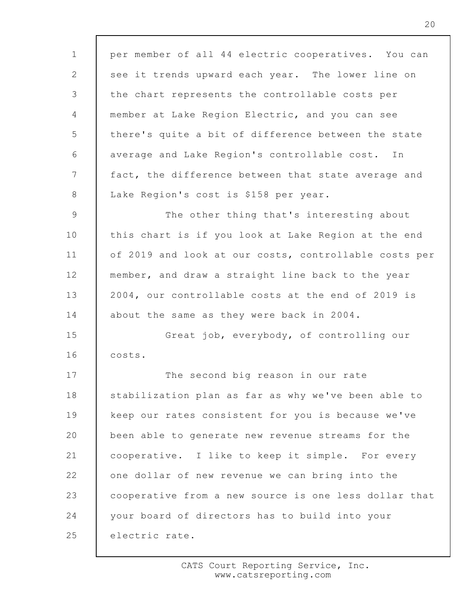1 2 3 4 5 6 7 8 9 10 11 12 13 14 15 16 17 18 19 20 21 22 23 24 25 per member of all 44 electric cooperatives. You can see it trends upward each year. The lower line on the chart represents the controllable costs per member at Lake Region Electric, and you can see there's quite a bit of difference between the state average and Lake Region's controllable cost. In fact, the difference between that state average and Lake Region's cost is \$158 per year. The other thing that's interesting about this chart is if you look at Lake Region at the end of 2019 and look at our costs, controllable costs per member, and draw a straight line back to the year 2004, our controllable costs at the end of 2019 is about the same as they were back in 2004. Great job, everybody, of controlling our costs. The second big reason in our rate stabilization plan as far as why we've been able to keep our rates consistent for you is because we've been able to generate new revenue streams for the cooperative. I like to keep it simple. For every one dollar of new revenue we can bring into the cooperative from a new source is one less dollar that your board of directors has to build into your electric rate.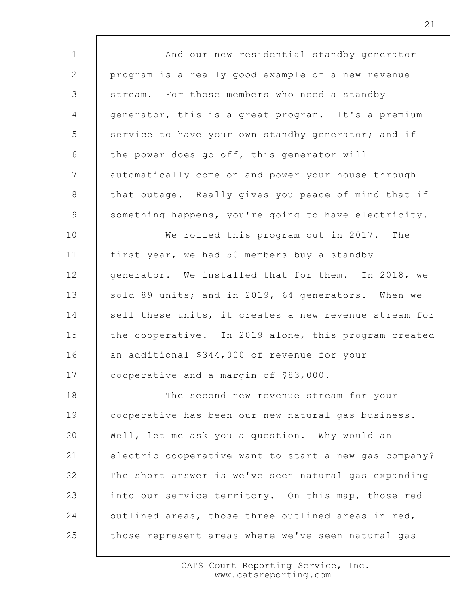1 2 3 4 5 6 7 8 9 10 11 12 13 14 15 16 17 18 19 20 21 22 23 24 25 And our new residential standby generator program is a really good example of a new revenue stream. For those members who need a standby generator, this is a great program. It's a premium service to have your own standby generator; and if the power does go off, this generator will automatically come on and power your house through that outage. Really gives you peace of mind that if something happens, you're going to have electricity. We rolled this program out in 2017. The first year, we had 50 members buy a standby generator. We installed that for them. In 2018, we sold 89 units; and in 2019, 64 generators. When we sell these units, it creates a new revenue stream for the cooperative. In 2019 alone, this program created an additional \$344,000 of revenue for your cooperative and a margin of \$83,000. The second new revenue stream for your cooperative has been our new natural gas business. Well, let me ask you a question. Why would an electric cooperative want to start a new gas company? The short answer is we've seen natural gas expanding into our service territory. On this map, those red outlined areas, those three outlined areas in red, those represent areas where we've seen natural gas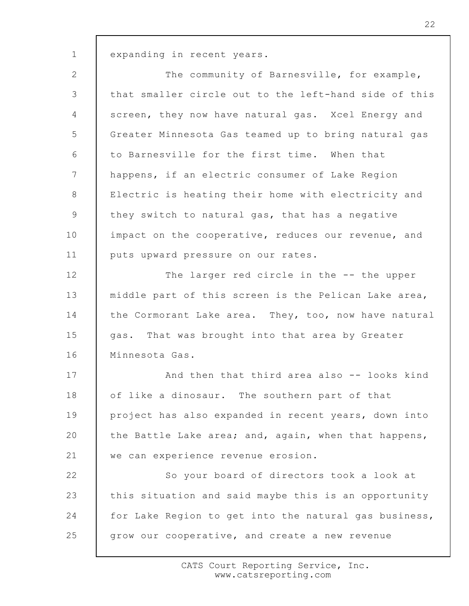1

expanding in recent years.

2 3 4 5 6 7 8 9 10 11 12 13 14 15 16 17 18 19 20 21 22 23 24 25 The community of Barnesville, for example, that smaller circle out to the left-hand side of this screen, they now have natural gas. Xcel Energy and Greater Minnesota Gas teamed up to bring natural gas to Barnesville for the first time. When that happens, if an electric consumer of Lake Region Electric is heating their home with electricity and they switch to natural gas, that has a negative impact on the cooperative, reduces our revenue, and puts upward pressure on our rates. The larger red circle in the -- the upper middle part of this screen is the Pelican Lake area, the Cormorant Lake area. They, too, now have natural gas. That was brought into that area by Greater Minnesota Gas. And then that third area also -- looks kind of like a dinosaur. The southern part of that project has also expanded in recent years, down into the Battle Lake area; and, again, when that happens, we can experience revenue erosion. So your board of directors took a look at this situation and said maybe this is an opportunity for Lake Region to get into the natural gas business, grow our cooperative, and create a new revenue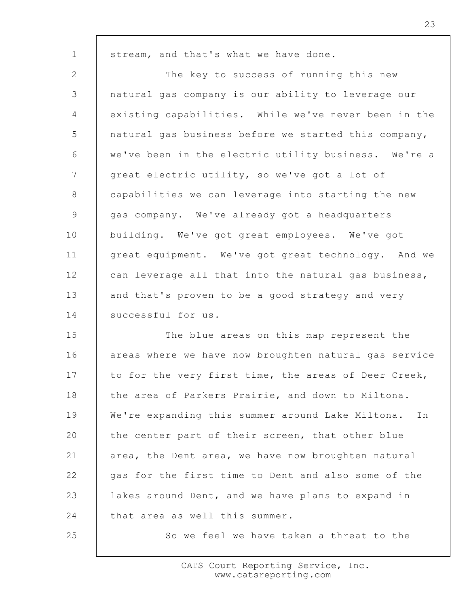stream, and that's what we have done.

1

25

2 3 4 5 6 7 8 9 10 11 12 13 14 The key to success of running this new natural gas company is our ability to leverage our existing capabilities. While we've never been in the natural gas business before we started this company, we've been in the electric utility business. We're a great electric utility, so we've got a lot of capabilities we can leverage into starting the new gas company. We've already got a headquarters building. We've got great employees. We've got great equipment. We've got great technology. And we can leverage all that into the natural gas business, and that's proven to be a good strategy and very successful for us.

15 16 17 18 19 20 21 22 23 24 The blue areas on this map represent the areas where we have now broughten natural gas service to for the very first time, the areas of Deer Creek, the area of Parkers Prairie, and down to Miltona. We're expanding this summer around Lake Miltona. In the center part of their screen, that other blue area, the Dent area, we have now broughten natural gas for the first time to Dent and also some of the lakes around Dent, and we have plans to expand in that area as well this summer.

So we feel we have taken a threat to the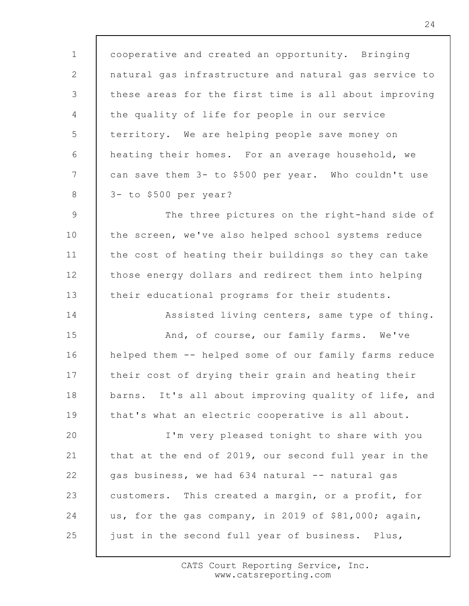1 2 3 4 5 6 7 8 cooperative and created an opportunity. Bringing natural gas infrastructure and natural gas service to these areas for the first time is all about improving the quality of life for people in our service territory. We are helping people save money on heating their homes. For an average household, we can save them 3- to \$500 per year. Who couldn't use 3- to \$500 per year?

9 10 11 12 13 The three pictures on the right-hand side of the screen, we've also helped school systems reduce the cost of heating their buildings so they can take those energy dollars and redirect them into helping their educational programs for their students.

14 15 16 17 18 19 Assisted living centers, same type of thing. And, of course, our family farms. We've helped them -- helped some of our family farms reduce their cost of drying their grain and heating their barns. It's all about improving quality of life, and that's what an electric cooperative is all about.

20 21 22 23 24 25 I'm very pleased tonight to share with you that at the end of 2019, our second full year in the gas business, we had 634 natural -- natural gas customers. This created a margin, or a profit, for us, for the gas company, in 2019 of \$81,000; again, just in the second full year of business. Plus,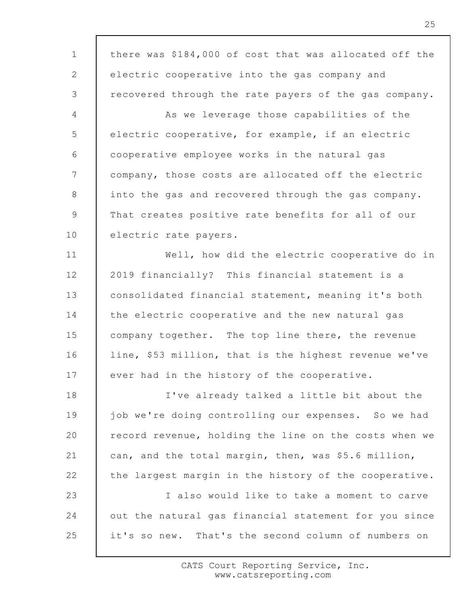1 2 3 4 5 6 7 8 9 10 11 12 13 14 15 16 17 18 19 20 21 22 23 24 25 there was \$184,000 of cost that was allocated off the electric cooperative into the gas company and recovered through the rate payers of the gas company. As we leverage those capabilities of the electric cooperative, for example, if an electric cooperative employee works in the natural gas company, those costs are allocated off the electric into the gas and recovered through the gas company. That creates positive rate benefits for all of our electric rate payers. Well, how did the electric cooperative do in 2019 financially? This financial statement is a consolidated financial statement, meaning it's both the electric cooperative and the new natural gas company together. The top line there, the revenue line, \$53 million, that is the highest revenue we've ever had in the history of the cooperative. I've already talked a little bit about the job we're doing controlling our expenses. So we had record revenue, holding the line on the costs when we can, and the total margin, then, was \$5.6 million, the largest margin in the history of the cooperative. I also would like to take a moment to carve out the natural gas financial statement for you since it's so new. That's the second column of numbers on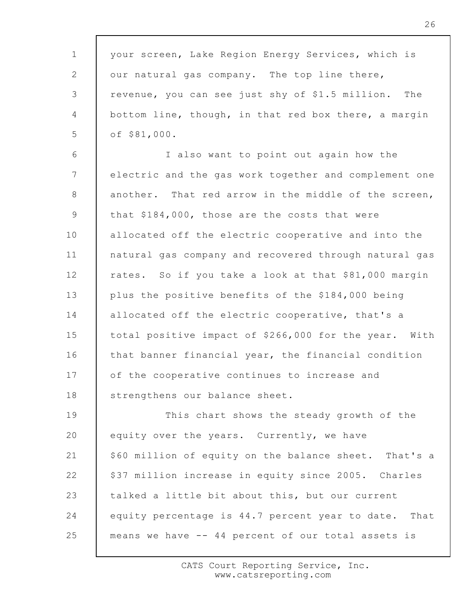1 2 3 4 5 6 7 8 9 10 11 12 13 14 15 16 17 18 19 20 21 22 23 24 25 your screen, Lake Region Energy Services, which is our natural gas company. The top line there, revenue, you can see just shy of \$1.5 million. The bottom line, though, in that red box there, a margin of \$81,000. I also want to point out again how the electric and the gas work together and complement one another. That red arrow in the middle of the screen, that \$184,000, those are the costs that were allocated off the electric cooperative and into the natural gas company and recovered through natural gas rates. So if you take a look at that \$81,000 margin plus the positive benefits of the \$184,000 being allocated off the electric cooperative, that's a total positive impact of \$266,000 for the year. With that banner financial year, the financial condition of the cooperative continues to increase and strengthens our balance sheet. This chart shows the steady growth of the equity over the years. Currently, we have \$60 million of equity on the balance sheet. That's a \$37 million increase in equity since 2005. Charles talked a little bit about this, but our current equity percentage is 44.7 percent year to date. That means we have -- 44 percent of our total assets is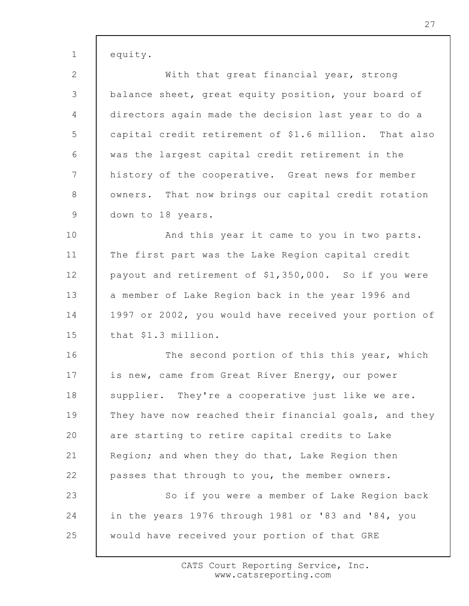| $\mathbf{1}$   | equity.                                               |
|----------------|-------------------------------------------------------|
| $\mathbf{2}$   | With that great financial year, strong                |
| 3              | balance sheet, great equity position, your board of   |
| $\overline{4}$ | directors again made the decision last year to do a   |
| 5              | capital credit retirement of \$1.6 million. That also |
| 6              | was the largest capital credit retirement in the      |
| $7\phantom{.}$ | history of the cooperative. Great news for member     |
| 8              | owners. That now brings our capital credit rotation   |
| 9              | down to 18 years.                                     |
| 10             | And this year it came to you in two parts.            |
| 11             | The first part was the Lake Region capital credit     |
| 12             | payout and retirement of \$1,350,000. So if you were  |
| 13             | a member of Lake Region back in the year 1996 and     |
| 14             | 1997 or 2002, you would have received your portion of |
| 15             | that \$1.3 million.                                   |
| 16             | The second portion of this this year, which           |
| 17             | is new, came from Great River Energy, our power       |
| 18             | supplier. They're a cooperative just like we are.     |
| 19             | They have now reached their financial goals, and they |
| 20             | are starting to retire capital credits to Lake        |
| 21             | Region; and when they do that, Lake Region then       |
| 22             | passes that through to you, the member owners.        |
| 23             | So if you were a member of Lake Region back           |
| 24             | in the years 1976 through 1981 or '83 and '84, you    |
| 25             | would have received your portion of that GRE          |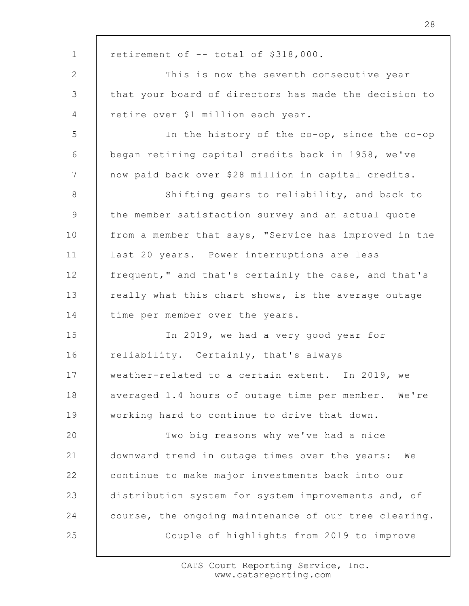1 2 3 4 5 6 7 8 9 10 11 12 13 14 15 16 17 18 19 20 21 22 23 24 25 retirement of -- total of \$318,000. This is now the seventh consecutive year that your board of directors has made the decision to retire over \$1 million each year. In the history of the co-op, since the co-op began retiring capital credits back in 1958, we've now paid back over \$28 million in capital credits. Shifting gears to reliability, and back to the member satisfaction survey and an actual quote from a member that says, "Service has improved in the last 20 years. Power interruptions are less frequent," and that's certainly the case, and that's really what this chart shows, is the average outage time per member over the years. In 2019, we had a very good year for reliability. Certainly, that's always weather-related to a certain extent. In 2019, we averaged 1.4 hours of outage time per member. We're working hard to continue to drive that down. Two big reasons why we've had a nice downward trend in outage times over the years: We continue to make major investments back into our distribution system for system improvements and, of course, the ongoing maintenance of our tree clearing. Couple of highlights from 2019 to improve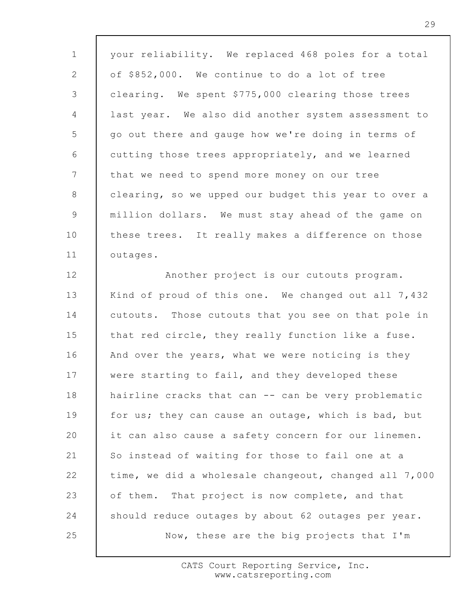1 2 3 4 5 6 7 8 9 10 11 12 13 14 15 16 17 18 19 20 21 22 23 24 25 your reliability. We replaced 468 poles for a total of \$852,000. We continue to do a lot of tree clearing. We spent \$775,000 clearing those trees last year. We also did another system assessment to go out there and gauge how we're doing in terms of cutting those trees appropriately, and we learned that we need to spend more money on our tree clearing, so we upped our budget this year to over a million dollars. We must stay ahead of the game on these trees. It really makes a difference on those outages. Another project is our cutouts program. Kind of proud of this one. We changed out all 7,432 cutouts. Those cutouts that you see on that pole in that red circle, they really function like a fuse. And over the years, what we were noticing is they were starting to fail, and they developed these hairline cracks that can -- can be very problematic for us; they can cause an outage, which is bad, but it can also cause a safety concern for our linemen. So instead of waiting for those to fail one at a time, we did a wholesale changeout, changed all 7,000 of them. That project is now complete, and that should reduce outages by about 62 outages per year. Now, these are the big projects that I'm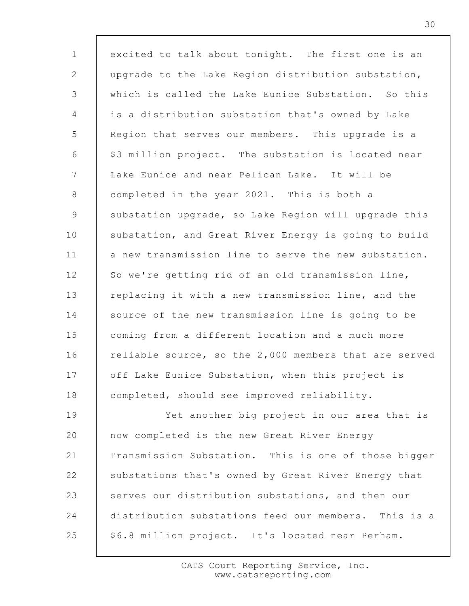1 2 3 4 5 6 7 8 9 10 11 12 13 14 15 16 17 18 19 20 21 22 23 24 25 excited to talk about tonight. The first one is an upgrade to the Lake Region distribution substation, which is called the Lake Eunice Substation. So this is a distribution substation that's owned by Lake Region that serves our members. This upgrade is a \$3 million project. The substation is located near Lake Eunice and near Pelican Lake. It will be completed in the year 2021. This is both a substation upgrade, so Lake Region will upgrade this substation, and Great River Energy is going to build a new transmission line to serve the new substation. So we're getting rid of an old transmission line, replacing it with a new transmission line, and the source of the new transmission line is going to be coming from a different location and a much more reliable source, so the 2,000 members that are served off Lake Eunice Substation, when this project is completed, should see improved reliability. Yet another big project in our area that is now completed is the new Great River Energy Transmission Substation. This is one of those bigger substations that's owned by Great River Energy that serves our distribution substations, and then our distribution substations feed our members. This is a \$6.8 million project. It's located near Perham.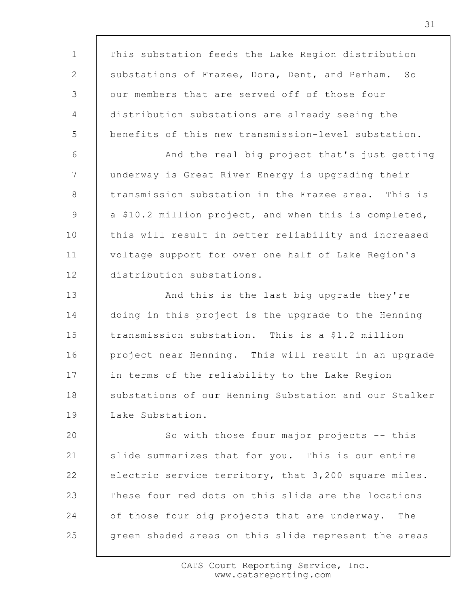1 2 3 4 5 6 7 8 9 10 11 12 13 14 15 16 17 18 19 20 21 22 23 24 25 This substation feeds the Lake Region distribution substations of Frazee, Dora, Dent, and Perham. So our members that are served off of those four distribution substations are already seeing the benefits of this new transmission-level substation. And the real big project that's just getting underway is Great River Energy is upgrading their transmission substation in the Frazee area. This is a \$10.2 million project, and when this is completed, this will result in better reliability and increased voltage support for over one half of Lake Region's distribution substations. And this is the last big upgrade they're doing in this project is the upgrade to the Henning transmission substation. This is a \$1.2 million project near Henning. This will result in an upgrade in terms of the reliability to the Lake Region substations of our Henning Substation and our Stalker Lake Substation. So with those four major projects -- this slide summarizes that for you. This is our entire electric service territory, that 3,200 square miles. These four red dots on this slide are the locations of those four big projects that are underway. The green shaded areas on this slide represent the areas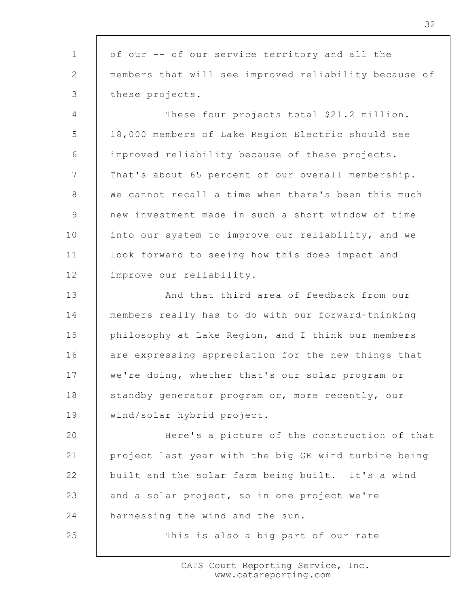1 2 3 of our -- of our service territory and all the members that will see improved reliability because of these projects.

4 5 6 7 8 9 10 11 12 These four projects total \$21.2 million. 18,000 members of Lake Region Electric should see improved reliability because of these projects. That's about 65 percent of our overall membership. We cannot recall a time when there's been this much new investment made in such a short window of time into our system to improve our reliability, and we look forward to seeing how this does impact and improve our reliability.

13 14 15 16 17 18 19 And that third area of feedback from our members really has to do with our forward-thinking philosophy at Lake Region, and I think our members are expressing appreciation for the new things that we're doing, whether that's our solar program or standby generator program or, more recently, our wind/solar hybrid project.

20 21 22 23 24 Here's a picture of the construction of that project last year with the big GE wind turbine being built and the solar farm being built. It's a wind and a solar project, so in one project we're harnessing the wind and the sun.

25

This is also a big part of our rate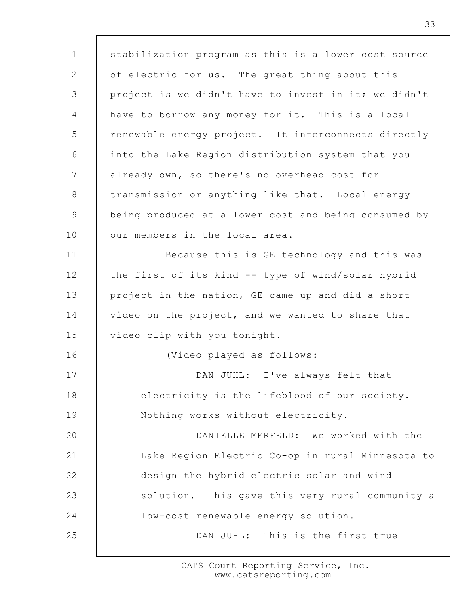1 2 3 4 5 6 7 8 9 10 11 12 13 14 15 16 17 18 19 20 21 22 23 24 25 stabilization program as this is a lower cost source of electric for us. The great thing about this project is we didn't have to invest in it; we didn't have to borrow any money for it. This is a local renewable energy project. It interconnects directly into the Lake Region distribution system that you already own, so there's no overhead cost for transmission or anything like that. Local energy being produced at a lower cost and being consumed by our members in the local area. Because this is GE technology and this was the first of its kind -- type of wind/solar hybrid project in the nation, GE came up and did a short video on the project, and we wanted to share that video clip with you tonight. (Video played as follows: DAN JUHL: I've always felt that electricity is the lifeblood of our society. Nothing works without electricity. DANIELLE MERFELD: We worked with the Lake Region Electric Co-op in rural Minnesota to design the hybrid electric solar and wind solution. This gave this very rural community a low-cost renewable energy solution. DAN JUHL: This is the first true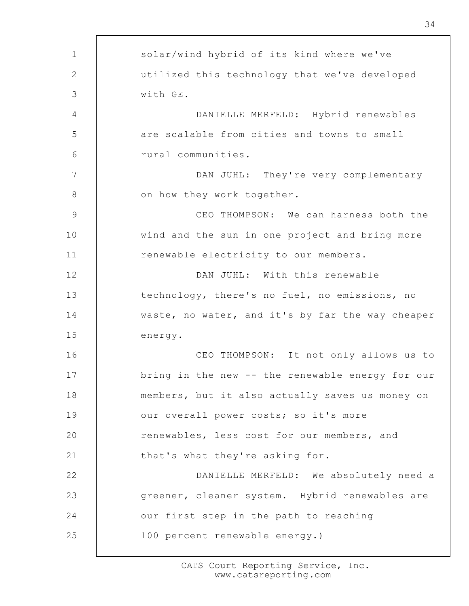| $\mathbf 1$  | solar/wind hybrid of its kind where we've        |
|--------------|--------------------------------------------------|
| $\mathbf{2}$ | utilized this technology that we've developed    |
| 3            | with GE.                                         |
| 4            | DANIELLE MERFELD: Hybrid renewables              |
| 5            | are scalable from cities and towns to small      |
| 6            | rural communities.                               |
| 7            | DAN JUHL: They're very complementary             |
| $8\,$        | on how they work together.                       |
| $\mathsf 9$  | CEO THOMPSON: We can harness both the            |
| 10           | wind and the sun in one project and bring more   |
| 11           | renewable electricity to our members.            |
| 12           | DAN JUHL: With this renewable                    |
| 13           | technology, there's no fuel, no emissions, no    |
| 14           | waste, no water, and it's by far the way cheaper |
| 15           | energy.                                          |
| 16           | CEO THOMPSON: It not only allows us to           |
| 17           | bring in the new -- the renewable energy for our |
| 18           | members, but it also actually saves us money on  |
| 19           | our overall power costs; so it's more            |
| 20           | renewables, less cost for our members, and       |
| 21           | that's what they're asking for.                  |
| 22           | DANIELLE MERFELD: We absolutely need a           |
| 23           | greener, cleaner system. Hybrid renewables are   |
| 24           | our first step in the path to reaching           |
| 25           | 100 percent renewable energy.)                   |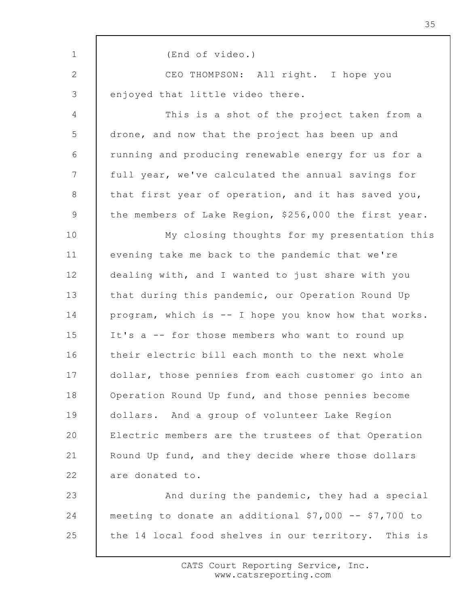1 2 3 4 5 6 7 8 9 10 11 12 13 14 15 16 17 18 19 20 21 22 23 24 25 (End of video.) CEO THOMPSON: All right. I hope you enjoyed that little video there. This is a shot of the project taken from a drone, and now that the project has been up and running and producing renewable energy for us for a full year, we've calculated the annual savings for that first year of operation, and it has saved you, the members of Lake Region, \$256,000 the first year. My closing thoughts for my presentation this evening take me back to the pandemic that we're dealing with, and I wanted to just share with you that during this pandemic, our Operation Round Up program, which is -- I hope you know how that works. It's a -- for those members who want to round up their electric bill each month to the next whole dollar, those pennies from each customer go into an Operation Round Up fund, and those pennies become dollars. And a group of volunteer Lake Region Electric members are the trustees of that Operation Round Up fund, and they decide where those dollars are donated to. And during the pandemic, they had a special meeting to donate an additional \$7,000 -- \$7,700 to the 14 local food shelves in our territory. This is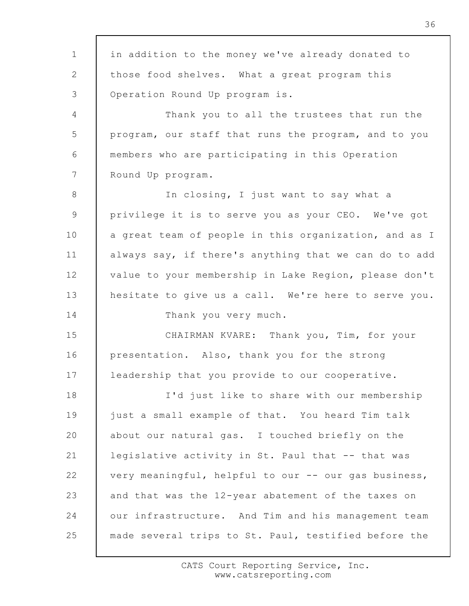1 2 3 4 5 6 7 8 9 10 11 12 13 14 15 16 17 18 19 20 21 22 23 24 25 in addition to the money we've already donated to those food shelves. What a great program this Operation Round Up program is. Thank you to all the trustees that run the program, our staff that runs the program, and to you members who are participating in this Operation Round Up program. In closing, I just want to say what a privilege it is to serve you as your CEO. We've got a great team of people in this organization, and as I always say, if there's anything that we can do to add value to your membership in Lake Region, please don't hesitate to give us a call. We're here to serve you. Thank you very much. CHAIRMAN KVARE: Thank you, Tim, for your presentation. Also, thank you for the strong leadership that you provide to our cooperative. I'd just like to share with our membership just a small example of that. You heard Tim talk about our natural gas. I touched briefly on the legislative activity in St. Paul that -- that was very meaningful, helpful to our -- our gas business, and that was the 12-year abatement of the taxes on our infrastructure. And Tim and his management team made several trips to St. Paul, testified before the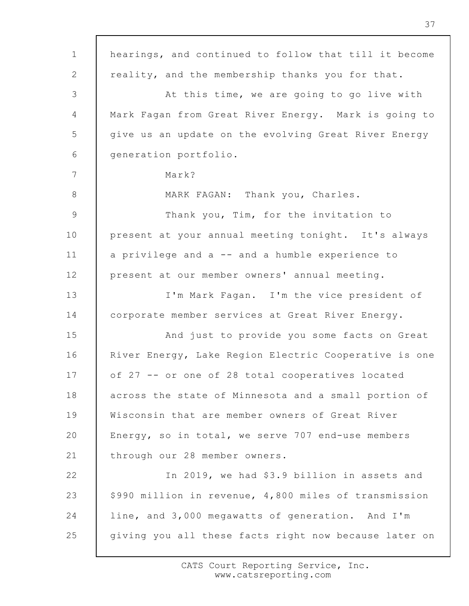1 2 3 4 5 6 7 8 9 10 11 12 13 14 15 16 17 18 19 20 21 22 23 24 25 hearings, and continued to follow that till it become reality, and the membership thanks you for that. At this time, we are going to go live with Mark Fagan from Great River Energy. Mark is going to give us an update on the evolving Great River Energy generation portfolio. Mark? MARK FAGAN: Thank you, Charles. Thank you, Tim, for the invitation to present at your annual meeting tonight. It's always a privilege and a -- and a humble experience to present at our member owners' annual meeting. I'm Mark Fagan. I'm the vice president of corporate member services at Great River Energy. And just to provide you some facts on Great River Energy, Lake Region Electric Cooperative is one of 27 -- or one of 28 total cooperatives located across the state of Minnesota and a small portion of Wisconsin that are member owners of Great River Energy, so in total, we serve 707 end-use members through our 28 member owners. In 2019, we had \$3.9 billion in assets and \$990 million in revenue, 4,800 miles of transmission line, and 3,000 megawatts of generation. And I'm giving you all these facts right now because later on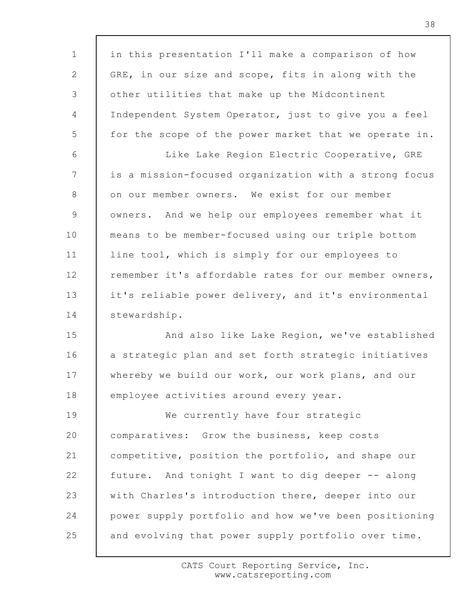1 2 3 4 5 6 7 8 9 10 11 12 13 14 15 16 17 18 19 20 21 22 23 24 25 in this presentation I'll make a comparison of how GRE, in our size and scope, fits in along with the other utilities that make up the Midcontinent Independent System Operator, just to give you a feel for the scope of the power market that we operate in. Like Lake Region Electric Cooperative, GRE is a mission-focused organization with a strong focus on our member owners. We exist for our member owners. And we help our employees remember what it means to be member-focused using our triple bottom line tool, which is simply for our employees to remember it's affordable rates for our member owners, it's reliable power delivery, and it's environmental stewardship. And also like Lake Region, we've established a strategic plan and set forth strategic initiatives whereby we build our work, our work plans, and our employee activities around every year. We currently have four strategic comparatives: Grow the business, keep costs competitive, position the portfolio, and shape our future. And tonight I want to dig deeper -- along with Charles's introduction there, deeper into our power supply portfolio and how we've been positioning and evolving that power supply portfolio over time.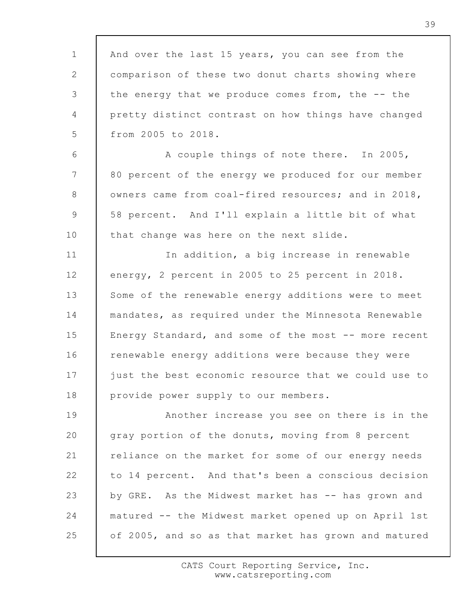1 2 3 4 5 And over the last 15 years, you can see from the comparison of these two donut charts showing where the energy that we produce comes from, the -- the pretty distinct contrast on how things have changed from 2005 to 2018.

6 7 8 9 10 A couple things of note there. In 2005, 80 percent of the energy we produced for our member owners came from coal-fired resources; and in 2018, 58 percent. And I'll explain a little bit of what that change was here on the next slide.

11 12 13 14 15 16 17 18 In addition, a big increase in renewable energy, 2 percent in 2005 to 25 percent in 2018. Some of the renewable energy additions were to meet mandates, as required under the Minnesota Renewable Energy Standard, and some of the most -- more recent renewable energy additions were because they were just the best economic resource that we could use to provide power supply to our members.

19 20 21 22 23 24 25 Another increase you see on there is in the gray portion of the donuts, moving from 8 percent reliance on the market for some of our energy needs to 14 percent. And that's been a conscious decision by GRE. As the Midwest market has -- has grown and matured -- the Midwest market opened up on April 1st of 2005, and so as that market has grown and matured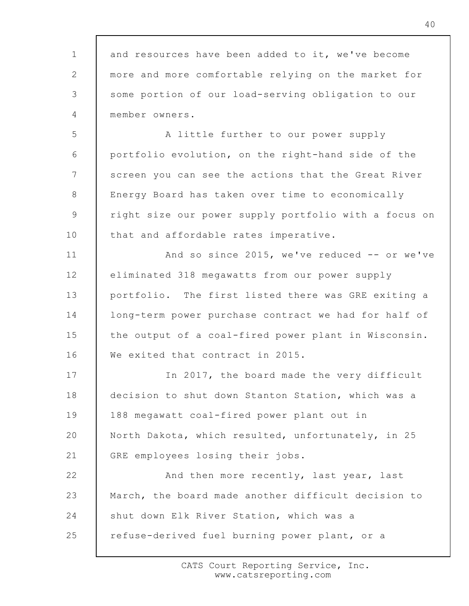1 2 3 4 5 6 7 8 9 10 11 12 13 14 15 16 17 18 19 20 21 22 23 24 25 and resources have been added to it, we've become more and more comfortable relying on the market for some portion of our load-serving obligation to our member owners. A little further to our power supply portfolio evolution, on the right-hand side of the screen you can see the actions that the Great River Energy Board has taken over time to economically right size our power supply portfolio with a focus on that and affordable rates imperative. And so since 2015, we've reduced -- or we've eliminated 318 megawatts from our power supply portfolio. The first listed there was GRE exiting a long-term power purchase contract we had for half of the output of a coal-fired power plant in Wisconsin. We exited that contract in 2015. In 2017, the board made the very difficult decision to shut down Stanton Station, which was a 188 megawatt coal-fired power plant out in North Dakota, which resulted, unfortunately, in 25 GRE employees losing their jobs. And then more recently, last year, last March, the board made another difficult decision to shut down Elk River Station, which was a refuse-derived fuel burning power plant, or a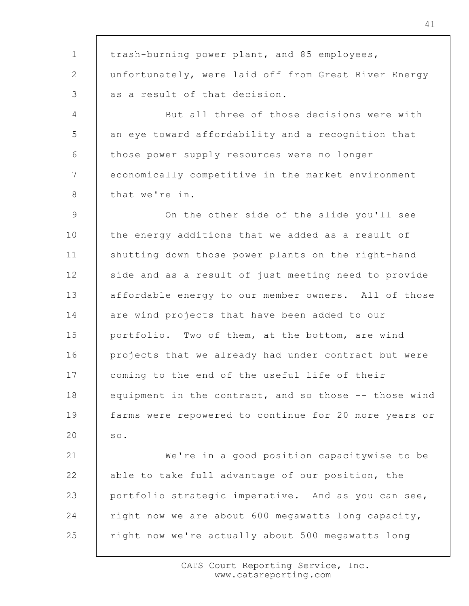1 2 3 4 5 6 7 8 9 10 11 12 13 14 15 16 17 18 19 20 21 22 23 24 25 trash-burning power plant, and 85 employees, unfortunately, were laid off from Great River Energy as a result of that decision. But all three of those decisions were with an eye toward affordability and a recognition that those power supply resources were no longer economically competitive in the market environment that we're in. On the other side of the slide you'll see the energy additions that we added as a result of shutting down those power plants on the right-hand side and as a result of just meeting need to provide affordable energy to our member owners. All of those are wind projects that have been added to our portfolio. Two of them, at the bottom, are wind projects that we already had under contract but were coming to the end of the useful life of their equipment in the contract, and so those -- those wind farms were repowered to continue for 20 more years or so. We're in a good position capacitywise to be able to take full advantage of our position, the portfolio strategic imperative. And as you can see, right now we are about 600 megawatts long capacity, right now we're actually about 500 megawatts long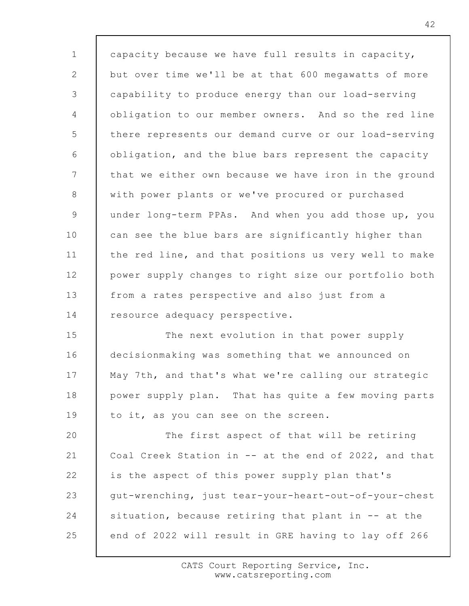1 2 3 4 5 6 7 8 9 10 11 12 13 14 15 16 17 18 19 20 21 22 23 24 25 capacity because we have full results in capacity, but over time we'll be at that 600 megawatts of more capability to produce energy than our load-serving obligation to our member owners. And so the red line there represents our demand curve or our load-serving obligation, and the blue bars represent the capacity that we either own because we have iron in the ground with power plants or we've procured or purchased under long-term PPAs. And when you add those up, you can see the blue bars are significantly higher than the red line, and that positions us very well to make power supply changes to right size our portfolio both from a rates perspective and also just from a resource adequacy perspective. The next evolution in that power supply decisionmaking was something that we announced on May 7th, and that's what we're calling our strategic power supply plan. That has quite a few moving parts to it, as you can see on the screen. The first aspect of that will be retiring Coal Creek Station in -- at the end of 2022, and that is the aspect of this power supply plan that's gut-wrenching, just tear-your-heart-out-of-your-chest situation, because retiring that plant in -- at the end of 2022 will result in GRE having to lay off 266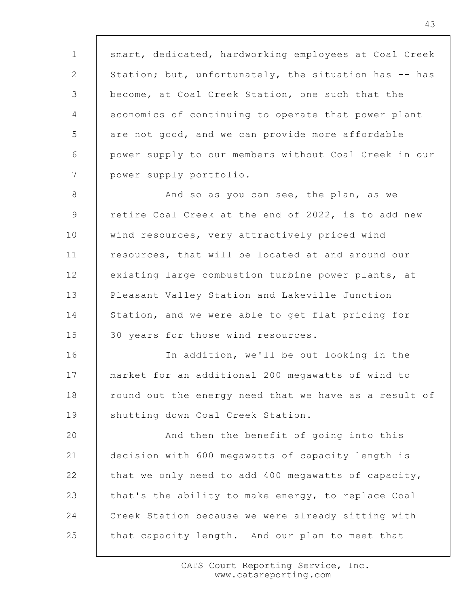1 2 3 4 5 6 7 smart, dedicated, hardworking employees at Coal Creek Station; but, unfortunately, the situation has -- has become, at Coal Creek Station, one such that the economics of continuing to operate that power plant are not good, and we can provide more affordable power supply to our members without Coal Creek in our power supply portfolio.

8 9 10 11 12 13 14 15 And so as you can see, the plan, as we retire Coal Creek at the end of 2022, is to add new wind resources, very attractively priced wind resources, that will be located at and around our existing large combustion turbine power plants, at Pleasant Valley Station and Lakeville Junction Station, and we were able to get flat pricing for 30 years for those wind resources.

16 17 18 19 In addition, we'll be out looking in the market for an additional 200 megawatts of wind to round out the energy need that we have as a result of shutting down Coal Creek Station.

20 21 22 23 24 25 And then the benefit of going into this decision with 600 megawatts of capacity length is that we only need to add 400 megawatts of capacity, that's the ability to make energy, to replace Coal Creek Station because we were already sitting with that capacity length. And our plan to meet that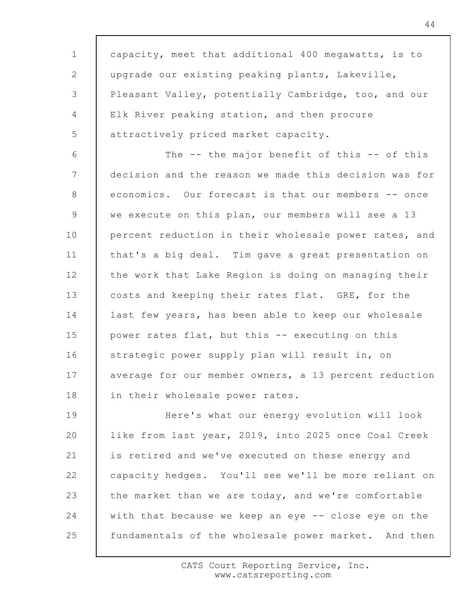1 2 3 4 5 6 7 8 9 10 11 12 13 14 15 16 17 18 19 20 21 22 23 24 25 capacity, meet that additional 400 megawatts, is to upgrade our existing peaking plants, Lakeville, Pleasant Valley, potentially Cambridge, too, and our Elk River peaking station, and then procure attractively priced market capacity. The -- the major benefit of this -- of this decision and the reason we made this decision was for economics. Our forecast is that our members -- once we execute on this plan, our members will see a 13 percent reduction in their wholesale power rates, and that's a big deal. Tim gave a great presentation on the work that Lake Region is doing on managing their costs and keeping their rates flat. GRE, for the last few years, has been able to keep our wholesale power rates flat, but this -- executing on this strategic power supply plan will result in, on average for our member owners, a 13 percent reduction in their wholesale power rates. Here's what our energy evolution will look like from last year, 2019, into 2025 once Coal Creek is retired and we've executed on these energy and capacity hedges. You'll see we'll be more reliant on the market than we are today, and we're comfortable with that because we keep an eye -- close eye on the fundamentals of the wholesale power market. And then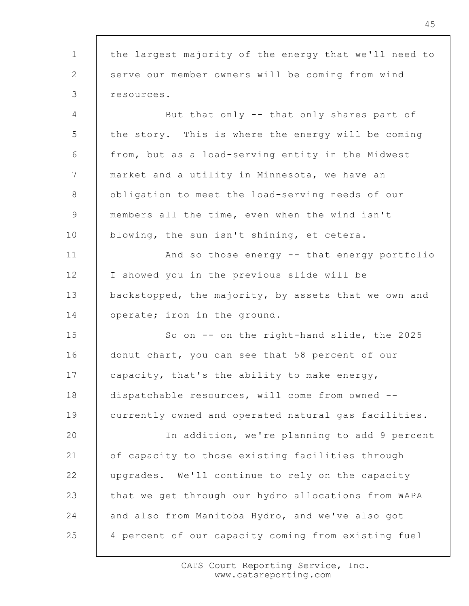1 2 3 4 5 6 7 8 9 10 11 12 13 14 15 16 17 18 19 20 21 22 23 24 25 the largest majority of the energy that we'll need to serve our member owners will be coming from wind resources. But that only -- that only shares part of the story. This is where the energy will be coming from, but as a load-serving entity in the Midwest market and a utility in Minnesota, we have an obligation to meet the load-serving needs of our members all the time, even when the wind isn't blowing, the sun isn't shining, et cetera. And so those energy -- that energy portfolio I showed you in the previous slide will be backstopped, the majority, by assets that we own and operate; iron in the ground. So on -- on the right-hand slide, the 2025 donut chart, you can see that 58 percent of our capacity, that's the ability to make energy, dispatchable resources, will come from owned - currently owned and operated natural gas facilities. In addition, we're planning to add 9 percent of capacity to those existing facilities through upgrades. We'll continue to rely on the capacity that we get through our hydro allocations from WAPA and also from Manitoba Hydro, and we've also got 4 percent of our capacity coming from existing fuel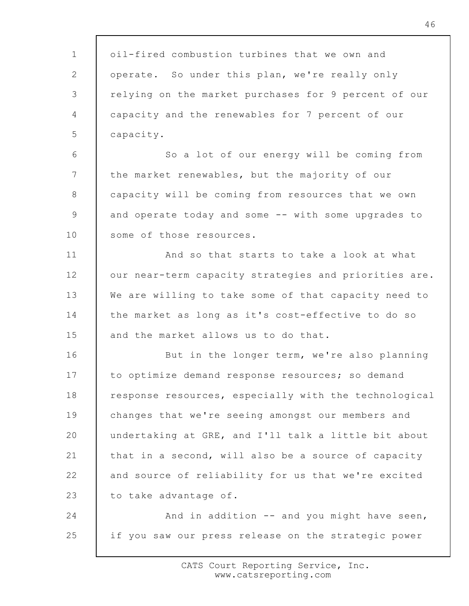1 2 3 4 5 6 7 8 9 10 11 12 13 14 15 16 17 18 19 20 21 22 23 24 25 oil-fired combustion turbines that we own and operate. So under this plan, we're really only relying on the market purchases for 9 percent of our capacity and the renewables for 7 percent of our capacity. So a lot of our energy will be coming from the market renewables, but the majority of our capacity will be coming from resources that we own and operate today and some -- with some upgrades to some of those resources. And so that starts to take a look at what our near-term capacity strategies and priorities are. We are willing to take some of that capacity need to the market as long as it's cost-effective to do so and the market allows us to do that. But in the longer term, we're also planning to optimize demand response resources; so demand response resources, especially with the technological changes that we're seeing amongst our members and undertaking at GRE, and I'll talk a little bit about that in a second, will also be a source of capacity and source of reliability for us that we're excited to take advantage of. And in addition -- and you might have seen, if you saw our press release on the strategic power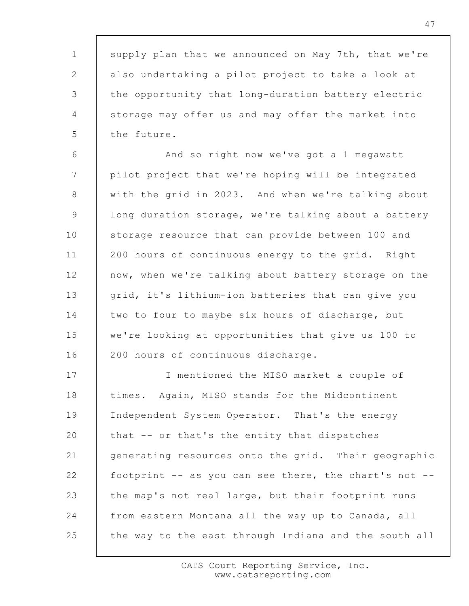47

supply plan that we announced on May 7th, that we're also undertaking a pilot project to take a look at the opportunity that long-duration battery electric storage may offer us and may offer the market into the future.

1

2

3

4

5

6 7 8 9 10 11 12 13 14 15 16 And so right now we've got a 1 megawatt pilot project that we're hoping will be integrated with the grid in 2023. And when we're talking about long duration storage, we're talking about a battery storage resource that can provide between 100 and 200 hours of continuous energy to the grid. Right now, when we're talking about battery storage on the grid, it's lithium-ion batteries that can give you two to four to maybe six hours of discharge, but we're looking at opportunities that give us 100 to 200 hours of continuous discharge.

17 18 19 20 21 22 23 24 25 I mentioned the MISO market a couple of times. Again, MISO stands for the Midcontinent Independent System Operator. That's the energy that -- or that's the entity that dispatches generating resources onto the grid. Their geographic footprint  $-$  as you can see there, the chart's not  $$ the map's not real large, but their footprint runs from eastern Montana all the way up to Canada, all the way to the east through Indiana and the south all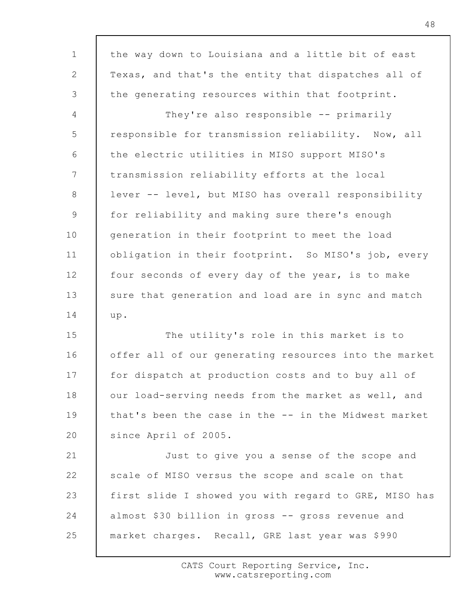| $\mathbf{1}$    | the way down to Louisiana and a little bit of east    |
|-----------------|-------------------------------------------------------|
| 2               | Texas, and that's the entity that dispatches all of   |
| 3               | the generating resources within that footprint.       |
| $\overline{4}$  | They're also responsible -- primarily                 |
| 5               | responsible for transmission reliability. Now, all    |
| 6               | the electric utilities in MISO support MISO's         |
| $7\phantom{.0}$ | transmission reliability efforts at the local         |
| 8               | lever -- level, but MISO has overall responsibility   |
| 9               | for reliability and making sure there's enough        |
| 10              | generation in their footprint to meet the load        |
| 11              | obligation in their footprint. So MISO's job, every   |
| 12              | four seconds of every day of the year, is to make     |
| 13              | sure that generation and load are in sync and match   |
| 14              | up.                                                   |
| 15              | The utility's role in this market is to               |
| 16              | offer all of our generating resources into the market |
| 17              | for dispatch at production costs and to buy all of    |
| 18              | our load-serving needs from the market as well, and   |
| 19              | that's been the case in the -- in the Midwest market  |
| 20              | since April of 2005.                                  |
| 21              | Just to give you a sense of the scope and             |
| 22              | scale of MISO versus the scope and scale on that      |
| 23              | first slide I showed you with regard to GRE, MISO has |
| 24              | almost \$30 billion in gross -- gross revenue and     |
| 25              | market charges. Recall, GRE last year was \$990       |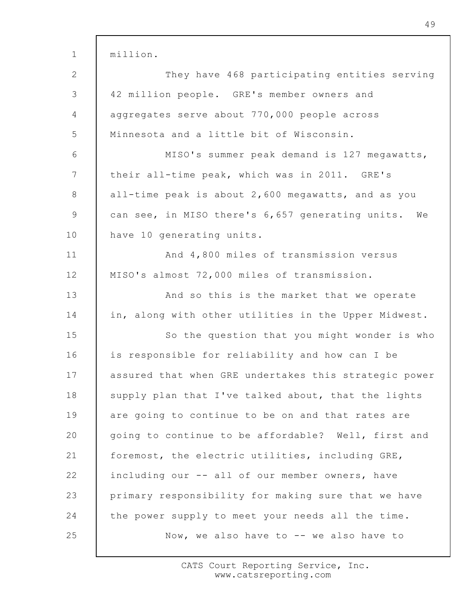| $\mathbf{1}$    | million.                                              |
|-----------------|-------------------------------------------------------|
| $\mathbf{2}$    | They have 468 participating entities serving          |
| 3               | 42 million people. GRE's member owners and            |
| 4               | aggregates serve about 770,000 people across          |
| 5               | Minnesota and a little bit of Wisconsin.              |
| 6               | MISO's summer peak demand is 127 megawatts,           |
| $7\phantom{.0}$ | their all-time peak, which was in 2011. GRE's         |
| 8               | all-time peak is about 2,600 megawatts, and as you    |
| $\overline{9}$  | can see, in MISO there's 6,657 generating units. We   |
| 10              | have 10 generating units.                             |
| 11              | And 4,800 miles of transmission versus                |
| 12              | MISO's almost 72,000 miles of transmission.           |
| 13              | And so this is the market that we operate             |
| 14              | in, along with other utilities in the Upper Midwest.  |
| 15              | So the question that you might wonder is who          |
| 16              | is responsible for reliability and how can I be       |
| 17              | assured that when GRE undertakes this strategic power |
| 18              | supply plan that I've talked about, that the lights   |
| 19              | are going to continue to be on and that rates are     |
| 20              | going to continue to be affordable? Well, first and   |
| 21              | foremost, the electric utilities, including GRE,      |
| 22              | including our -- all of our member owners, have       |
| 23              | primary responsibility for making sure that we have   |
| 24              | the power supply to meet your needs all the time.     |
| 25              | Now, we also have to -- we also have to               |

49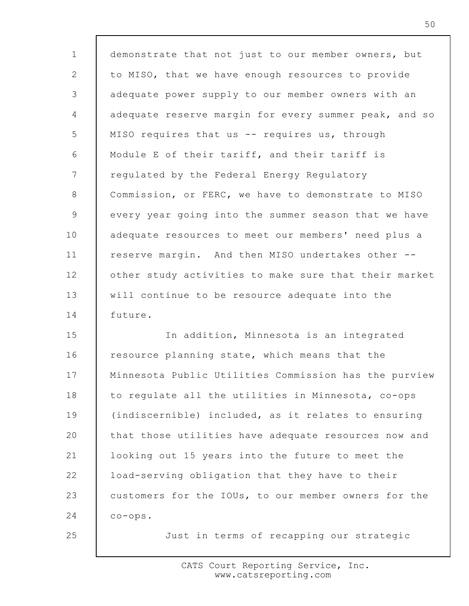1 2 3 4 5 6 7 8 9 10 11 12 13 14 15 demonstrate that not just to our member owners, but to MISO, that we have enough resources to provide adequate power supply to our member owners with an adequate reserve margin for every summer peak, and so MISO requires that us -- requires us, through Module E of their tariff, and their tariff is regulated by the Federal Energy Regulatory Commission, or FERC, we have to demonstrate to MISO every year going into the summer season that we have adequate resources to meet our members' need plus a reserve margin. And then MISO undertakes other - other study activities to make sure that their market will continue to be resource adequate into the future. In addition, Minnesota is an integrated resource planning state, which means that the Minnesota Public Utilities Commission has the purview to regulate all the utilities in Minnesota, co-ops (indiscernible) included, as it relates to ensuring

16 17 18 19 20 21 22 23 24 that those utilities have adequate resources now and looking out 15 years into the future to meet the load-serving obligation that they have to their customers for the IOUs, to our member owners for the co-ops.

25

Just in terms of recapping our strategic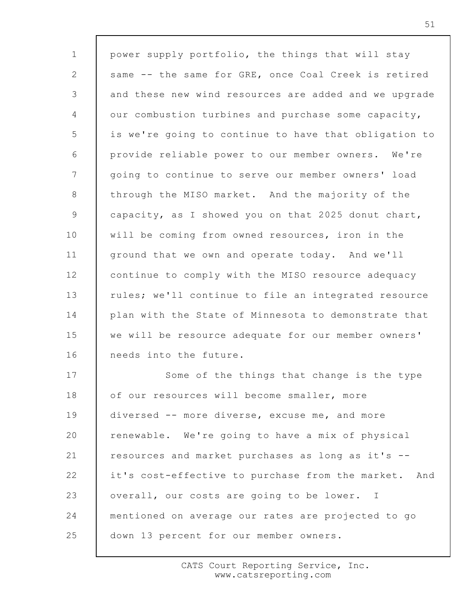1 2 3 4 5 6 7 8 9 10 11 12 13 14 15 16 17 18 19 20 21 22 23 24 25 power supply portfolio, the things that will stay same -- the same for GRE, once Coal Creek is retired and these new wind resources are added and we upgrade our combustion turbines and purchase some capacity, is we're going to continue to have that obligation to provide reliable power to our member owners. We're going to continue to serve our member owners' load through the MISO market. And the majority of the capacity, as I showed you on that 2025 donut chart, will be coming from owned resources, iron in the ground that we own and operate today. And we'll continue to comply with the MISO resource adequacy rules; we'll continue to file an integrated resource plan with the State of Minnesota to demonstrate that we will be resource adequate for our member owners' needs into the future. Some of the things that change is the type of our resources will become smaller, more diversed -- more diverse, excuse me, and more renewable. We're going to have a mix of physical resources and market purchases as long as it's - it's cost-effective to purchase from the market. And overall, our costs are going to be lower. I mentioned on average our rates are projected to go down 13 percent for our member owners.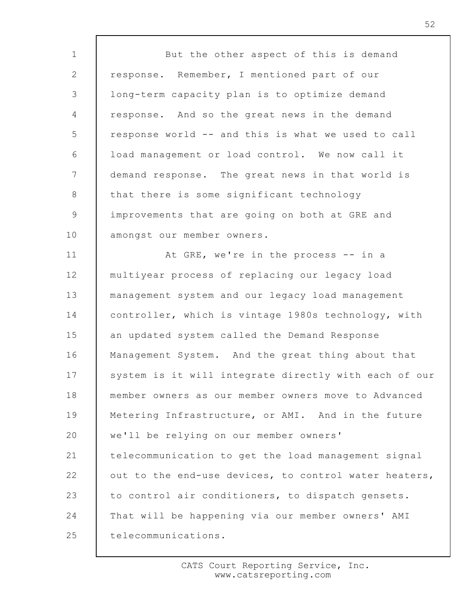1 2 3 4 5 6 7 8 9 10 11 12 13 14 15 16 17 18 19 20 21 22 23 24 25 But the other aspect of this is demand response. Remember, I mentioned part of our long-term capacity plan is to optimize demand response. And so the great news in the demand response world -- and this is what we used to call load management or load control. We now call it demand response. The great news in that world is that there is some significant technology improvements that are going on both at GRE and amongst our member owners. At GRE, we're in the process -- in a multiyear process of replacing our legacy load management system and our legacy load management controller, which is vintage 1980s technology, with an updated system called the Demand Response Management System. And the great thing about that system is it will integrate directly with each of our member owners as our member owners move to Advanced Metering Infrastructure, or AMI. And in the future we'll be relying on our member owners' telecommunication to get the load management signal out to the end-use devices, to control water heaters, to control air conditioners, to dispatch gensets. That will be happening via our member owners' AMI telecommunications.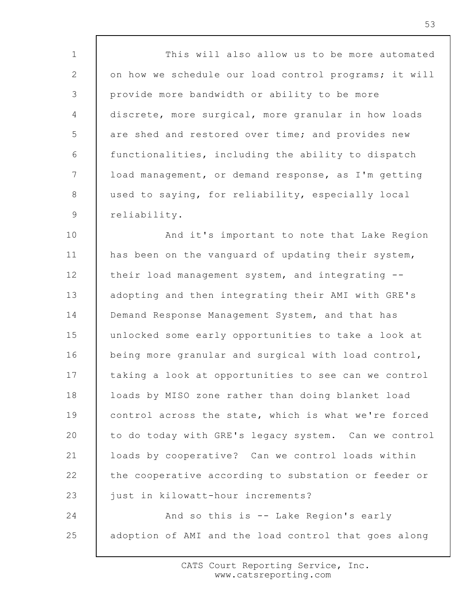1 2 3 4 5 6 7 8 9 10 11 12 13 14 This will also allow us to be more automated on how we schedule our load control programs; it will provide more bandwidth or ability to be more discrete, more surgical, more granular in how loads are shed and restored over time; and provides new functionalities, including the ability to dispatch load management, or demand response, as I'm getting used to saying, for reliability, especially local reliability. And it's important to note that Lake Region has been on the vanguard of updating their system, their load management system, and integrating - adopting and then integrating their AMI with GRE's Demand Response Management System, and that has unlocked some early opportunities to take a look at

15 16 17 18 19 20 21 22 23 being more granular and surgical with load control, taking a look at opportunities to see can we control loads by MISO zone rather than doing blanket load control across the state, which is what we're forced to do today with GRE's legacy system. Can we control loads by cooperative? Can we control loads within the cooperative according to substation or feeder or just in kilowatt-hour increments?

24 25 And so this is -- Lake Region's early adoption of AMI and the load control that goes along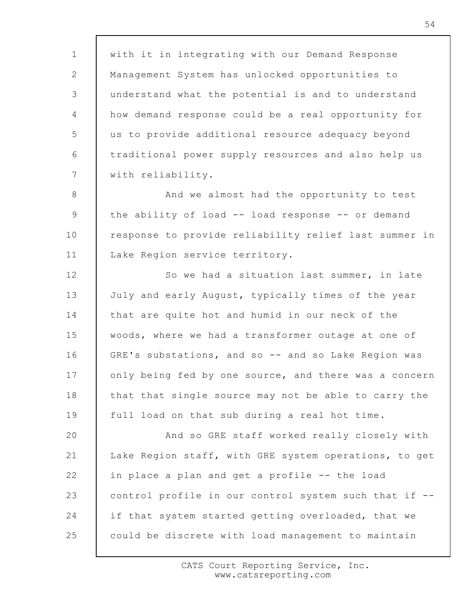1 2 3 4 5 6 7 with it in integrating with our Demand Response Management System has unlocked opportunities to understand what the potential is and to understand how demand response could be a real opportunity for us to provide additional resource adequacy beyond traditional power supply resources and also help us with reliability.

8 9 10 11 And we almost had the opportunity to test the ability of load -- load response -- or demand response to provide reliability relief last summer in Lake Region service territory.

12 13 14 15 16 17 18 19 So we had a situation last summer, in late July and early August, typically times of the year that are quite hot and humid in our neck of the woods, where we had a transformer outage at one of GRE's substations, and so -- and so Lake Region was only being fed by one source, and there was a concern that that single source may not be able to carry the full load on that sub during a real hot time.

20 21 22 23 24 25 And so GRE staff worked really closely with Lake Region staff, with GRE system operations, to get in place a plan and get a profile -- the load control profile in our control system such that if - if that system started getting overloaded, that we could be discrete with load management to maintain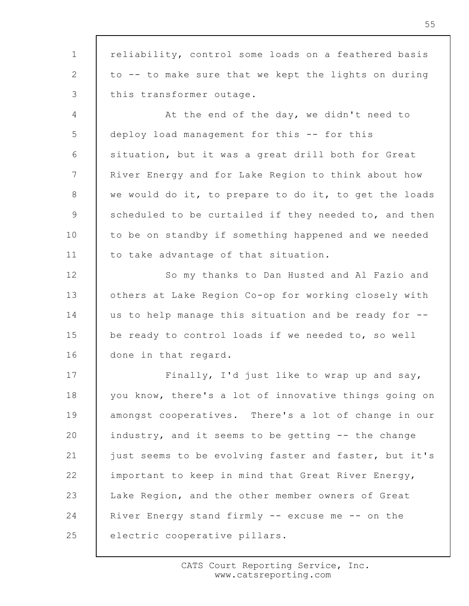1 2 3 4 5 6 7 8 9 10 11 12 13 14 15 16 17 18 19 20 21 22 23 24 25 reliability, control some loads on a feathered basis to -- to make sure that we kept the lights on during this transformer outage. At the end of the day, we didn't need to deploy load management for this -- for this situation, but it was a great drill both for Great River Energy and for Lake Region to think about how we would do it, to prepare to do it, to get the loads scheduled to be curtailed if they needed to, and then to be on standby if something happened and we needed to take advantage of that situation. So my thanks to Dan Husted and Al Fazio and others at Lake Region Co-op for working closely with us to help manage this situation and be ready for - be ready to control loads if we needed to, so well done in that regard. Finally, I'd just like to wrap up and say, you know, there's a lot of innovative things going on amongst cooperatives. There's a lot of change in our industry, and it seems to be getting -- the change just seems to be evolving faster and faster, but it's important to keep in mind that Great River Energy, Lake Region, and the other member owners of Great River Energy stand firmly -- excuse me -- on the electric cooperative pillars.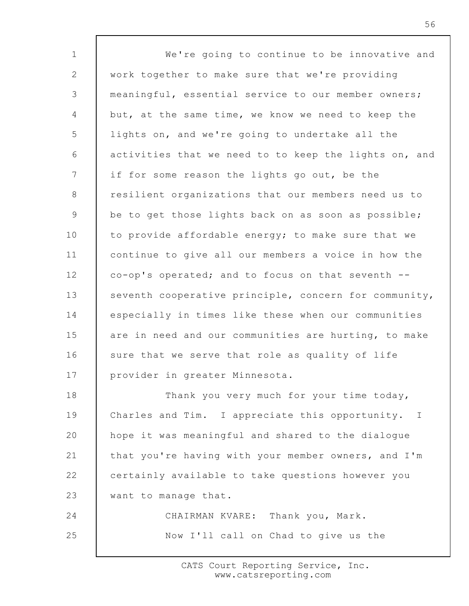1 2 3 4 5 6 7 8 9 10 11 12 13 14 15 16 17 18 19 20 21 22 23 24 25 We're going to continue to be innovative and work together to make sure that we're providing meaningful, essential service to our member owners; but, at the same time, we know we need to keep the lights on, and we're going to undertake all the activities that we need to to keep the lights on, and if for some reason the lights go out, be the resilient organizations that our members need us to be to get those lights back on as soon as possible; to provide affordable energy; to make sure that we continue to give all our members a voice in how the co-op's operated; and to focus on that seventh - seventh cooperative principle, concern for community, especially in times like these when our communities are in need and our communities are hurting, to make sure that we serve that role as quality of life provider in greater Minnesota. Thank you very much for your time today, Charles and Tim. I appreciate this opportunity. I hope it was meaningful and shared to the dialogue that you're having with your member owners, and I'm certainly available to take questions however you want to manage that. CHAIRMAN KVARE: Thank you, Mark. Now I'll call on Chad to give us the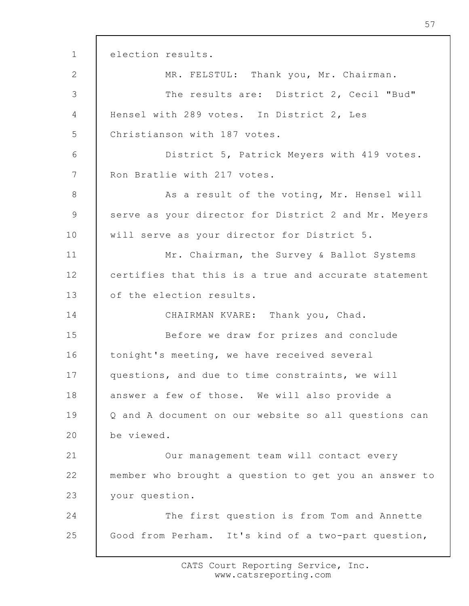1 2 3 4 5 6 7 8 9 10 11 12 13 14 15 16 17 18 19 20 21 22 23 24 25 election results. MR. FELSTUL: Thank you, Mr. Chairman. The results are: District 2, Cecil "Bud" Hensel with 289 votes. In District 2, Les Christianson with 187 votes. District 5, Patrick Meyers with 419 votes. Ron Bratlie with 217 votes. As a result of the voting, Mr. Hensel will serve as your director for District 2 and Mr. Meyers will serve as your director for District 5. Mr. Chairman, the Survey & Ballot Systems certifies that this is a true and accurate statement of the election results. CHAIRMAN KVARE: Thank you, Chad. Before we draw for prizes and conclude tonight's meeting, we have received several questions, and due to time constraints, we will answer a few of those. We will also provide a Q and A document on our website so all questions can be viewed. Our management team will contact every member who brought a question to get you an answer to your question. The first question is from Tom and Annette Good from Perham. It's kind of a two-part question,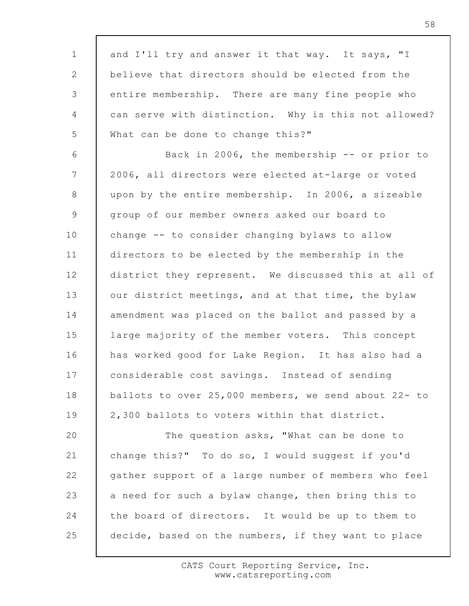| $\mathbf{1}$   | and I'll try and answer it that way. It says, "I     |
|----------------|------------------------------------------------------|
| $\mathbf{2}$   | believe that directors should be elected from the    |
| 3              | entire membership. There are many fine people who    |
| $\overline{4}$ | can serve with distinction. Why is this not allowed? |
| 5              | What can be done to change this?"                    |
| 6              | Back in 2006, the membership -- or prior to          |
| $7\phantom{.}$ | 2006, all directors were elected at-large or voted   |
| 8              | upon by the entire membership. In 2006, a sizeable   |
| 9              | group of our member owners asked our board to        |
| 10             | change -- to consider changing bylaws to allow       |
| 11             | directors to be elected by the membership in the     |
| 12             | district they represent. We discussed this at all of |
| 13             | our district meetings, and at that time, the bylaw   |
| 14             | amendment was placed on the ballot and passed by a   |
| 15             | large majority of the member voters. This concept    |
| 16             | has worked good for Lake Region. It has also had a   |
| 17             | considerable cost savings. Instead of sending        |
| 18             | ballots to over 25,000 members, we send about 22- to |
| 19             | 2,300 ballots to voters within that district.        |
| 20             | The question asks, "What can be done to              |
| 21             | change this?" To do so, I would suggest if you'd     |
| 22             | gather support of a large number of members who feel |
| 23             | a need for such a bylaw change, then bring this to   |
| 24             | the board of directors. It would be up to them to    |
| 25             | decide, based on the numbers, if they want to place  |

 $\Gamma$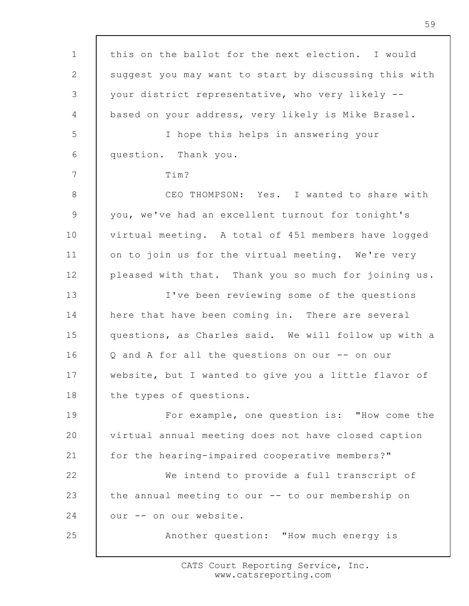1 2 3 4 5 6 7 8 9 10 11 12 13 14 15 16 17 18 19 20 21 22 23 24 25 this on the ballot for the next election. I would suggest you may want to start by discussing this with your district representative, who very likely - based on your address, very likely is Mike Brasel. I hope this helps in answering your question. Thank you. Tim? CEO THOMPSON: Yes. I wanted to share with you, we've had an excellent turnout for tonight's virtual meeting. A total of 451 members have logged on to join us for the virtual meeting. We're very pleased with that. Thank you so much for joining us. I've been reviewing some of the questions here that have been coming in. There are several questions, as Charles said. We will follow up with a Q and A for all the questions on our -- on our website, but I wanted to give you a little flavor of the types of questions. For example, one question is: "How come the virtual annual meeting does not have closed caption for the hearing-impaired cooperative members?" We intend to provide a full transcript of the annual meeting to our -- to our membership on our -- on our website. Another question: "How much energy is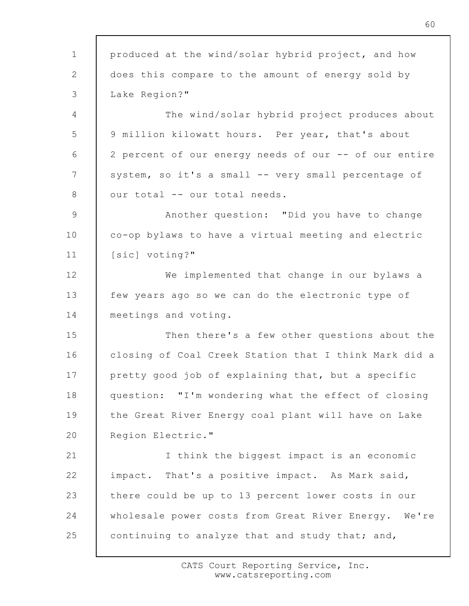1 2 3 4 5 6 7 8 9 10 11 12 13 14 15 16 17 18 19 20 21 22 23 24 25 produced at the wind/solar hybrid project, and how does this compare to the amount of energy sold by Lake Region?" The wind/solar hybrid project produces about 9 million kilowatt hours. Per year, that's about 2 percent of our energy needs of our -- of our entire system, so it's a small -- very small percentage of our total -- our total needs. Another question: "Did you have to change co-op bylaws to have a virtual meeting and electric [sic] voting?" We implemented that change in our bylaws a few years ago so we can do the electronic type of meetings and voting. Then there's a few other questions about the closing of Coal Creek Station that I think Mark did a pretty good job of explaining that, but a specific question: "I'm wondering what the effect of closing the Great River Energy coal plant will have on Lake Region Electric." I think the biggest impact is an economic impact. That's a positive impact. As Mark said, there could be up to 13 percent lower costs in our wholesale power costs from Great River Energy. We're continuing to analyze that and study that; and,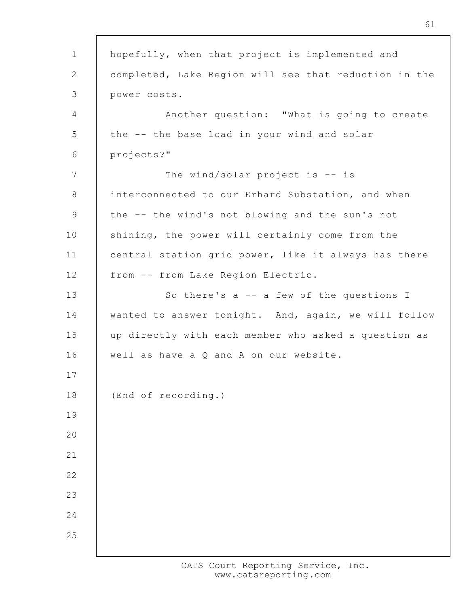1 2 3 4 5 6 7 8 9 10 11 12 13 14 15 16 17 18 19  $20$ 21 22 23 24 25 hopefully, when that project is implemented and completed, Lake Region will see that reduction in the power costs. Another question: "What is going to create the -- the base load in your wind and solar projects?" The wind/solar project is -- is interconnected to our Erhard Substation, and when the -- the wind's not blowing and the sun's not shining, the power will certainly come from the central station grid power, like it always has there from -- from Lake Region Electric. So there's a -- a few of the questions I wanted to answer tonight. And, again, we will follow up directly with each member who asked a question as well as have a Q and A on our website. (End of recording.)